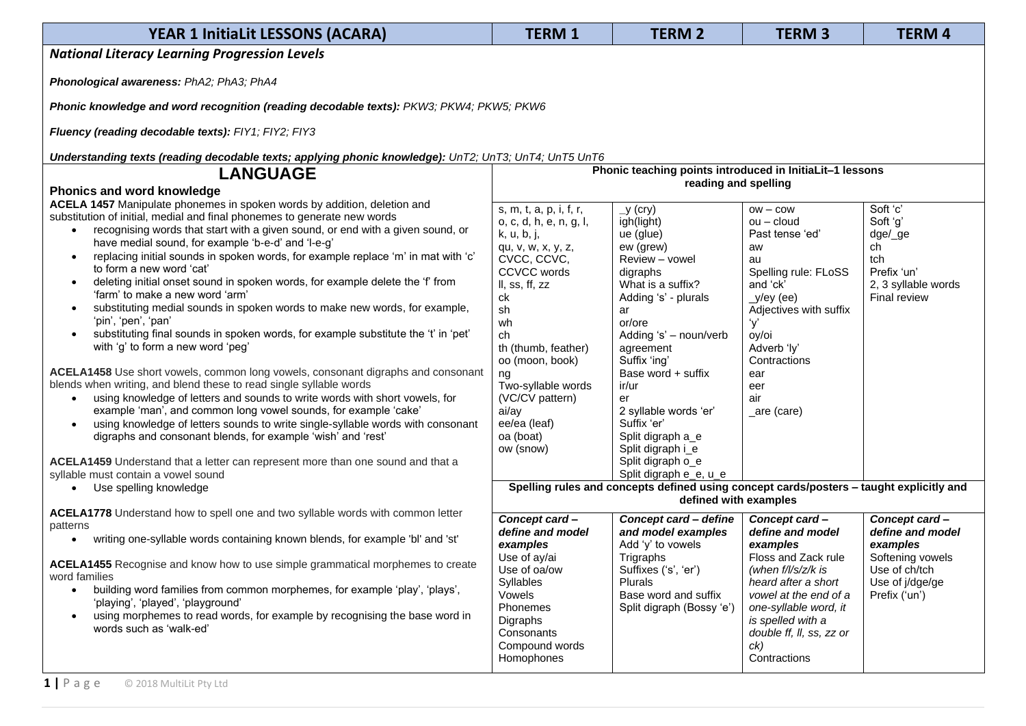| <b>YEAR 1 InitiaLit LESSONS (ACARA)</b>                                                                                       | <b>TERM1</b>              | <b>TERM 2</b>                                                                                                    | <b>TERM3</b>                                     | <b>TERM4</b>                     |
|-------------------------------------------------------------------------------------------------------------------------------|---------------------------|------------------------------------------------------------------------------------------------------------------|--------------------------------------------------|----------------------------------|
| <b>National Literacy Learning Progression Levels</b>                                                                          |                           |                                                                                                                  |                                                  |                                  |
|                                                                                                                               |                           |                                                                                                                  |                                                  |                                  |
| Phonological awareness: PhA2; PhA3; PhA4                                                                                      |                           |                                                                                                                  |                                                  |                                  |
| Phonic knowledge and word recognition (reading decodable texts): PKW3; PKW4; PKW5; PKW6                                       |                           |                                                                                                                  |                                                  |                                  |
| Fluency (reading decodable texts): FIY1; FIY2; FIY3                                                                           |                           |                                                                                                                  |                                                  |                                  |
| Understanding texts (reading decodable texts; applying phonic knowledge): UnT2; UnT3; UnT4; UnT5 UnT6                         |                           |                                                                                                                  |                                                  |                                  |
| <b>LANGUAGE</b>                                                                                                               |                           | Phonic teaching points introduced in InitiaLit-1 lessons                                                         |                                                  |                                  |
| <b>Phonics and word knowledge</b>                                                                                             |                           | reading and spelling                                                                                             |                                                  |                                  |
| ACELA 1457 Manipulate phonemes in spoken words by addition, deletion and                                                      | s, m, t, a, p, i, f, r,   | y (cry)                                                                                                          | $OW - \text{COW}$                                | Soft 'c'                         |
| substitution of initial, medial and final phonemes to generate new words                                                      | o, c, d, h, e, n, g, l,   | igh(light)                                                                                                       | $ou - cloud$                                     | Soft 'g'                         |
| recognising words that start with a given sound, or end with a given sound, or<br>$\bullet$                                   | k, u, b, j,               | ue (glue)                                                                                                        | Past tense 'ed'                                  | dge/_ge                          |
| have medial sound, for example 'b-e-d' and 'l-e-g'                                                                            | qu, v, w, x, y, z,        | ew (grew)                                                                                                        | aw                                               | ch                               |
| replacing initial sounds in spoken words, for example replace 'm' in mat with 'c'<br>$\bullet$                                | CVCC, CCVC,               | Review - vowel                                                                                                   | au                                               | tch                              |
| to form a new word 'cat'                                                                                                      | <b>CCVCC</b> words        | digraphs                                                                                                         | Spelling rule: FLoSS                             | Prefix 'un'                      |
| deleting initial onset sound in spoken words, for example delete the 'f' from<br>$\bullet$<br>'farm' to make a new word 'arm' | II, ss, ff, zz            | What is a suffix?                                                                                                | and 'ck'                                         | 2, 3 syllable words              |
|                                                                                                                               | ck                        | Adding 's' - plurals                                                                                             | $y/ey$ (ee)                                      | Final review                     |
| substituting medial sounds in spoken words to make new words, for example,<br>'pin', 'pen', 'pan'                             | sh                        | ar                                                                                                               | Adjectives with suffix                           |                                  |
| substituting final sounds in spoken words, for example substitute the 't' in 'pet'                                            | wh                        | or/ore<br>Adding 's' - noun/verb                                                                                 | y'                                               |                                  |
| with 'g' to form a new word 'peg'                                                                                             | ch<br>th (thumb, feather) |                                                                                                                  | oy/oi<br>Adverb 'ly'                             |                                  |
|                                                                                                                               | oo (moon, book)           | agreement<br>Suffix 'ing'                                                                                        | Contractions                                     |                                  |
| ACELA1458 Use short vowels, common long vowels, consonant digraphs and consonant                                              | ng                        | Base word + suffix                                                                                               | ear                                              |                                  |
| blends when writing, and blend these to read single syllable words                                                            | Two-syllable words        | ir/ur                                                                                                            | eer                                              |                                  |
| using knowledge of letters and sounds to write words with short vowels, for                                                   | (VC/CV pattern)           | er                                                                                                               | air                                              |                                  |
| example 'man', and common long vowel sounds, for example 'cake'                                                               | ai/ay                     | 2 syllable words 'er'                                                                                            | _are (care)                                      |                                  |
| using knowledge of letters sounds to write single-syllable words with consonant<br>$\bullet$                                  | ee/ea (leaf)              | Suffix 'er'                                                                                                      |                                                  |                                  |
| digraphs and consonant blends, for example 'wish' and 'rest'                                                                  | oa (boat)                 | Split digraph a_e                                                                                                |                                                  |                                  |
|                                                                                                                               | ow (snow)                 | Split digraph i_e                                                                                                |                                                  |                                  |
| ACELA1459 Understand that a letter can represent more than one sound and that a                                               |                           | Split digraph o_e                                                                                                |                                                  |                                  |
| syllable must contain a vowel sound                                                                                           |                           | Split digraph e_e, u_e                                                                                           |                                                  |                                  |
| • Use spelling knowledge                                                                                                      |                           | Spelling rules and concepts defined using concept cards/posters - taught explicitly and<br>defined with examples |                                                  |                                  |
| <b>ACELA1778</b> Understand how to spell one and two syllable words with common letter                                        |                           |                                                                                                                  |                                                  |                                  |
| patterns                                                                                                                      | Concept card-             | Concept card - define                                                                                            | Concept card-                                    | Concept card-                    |
| writing one-syllable words containing known blends, for example 'bl' and 'st'                                                 | define and model          | and model examples                                                                                               | define and model                                 | define and model                 |
|                                                                                                                               | examples                  | Add 'y' to vowels                                                                                                | examples                                         | examples                         |
| ACELA1455 Recognise and know how to use simple grammatical morphemes to create                                                | Use of ay/ai              | Trigraphs                                                                                                        | Floss and Zack rule                              | Softening vowels                 |
| word families                                                                                                                 | Use of oa/ow<br>Syllables | Suffixes ('s', 'er')<br>Plurals                                                                                  | (when $f/\sqrt{s/z/k}$ is<br>heard after a short | Use of ch/tch<br>Use of j/dge/ge |
| building word families from common morphemes, for example 'play', 'plays',<br>$\bullet$                                       | Vowels                    | Base word and suffix                                                                                             | vowel at the end of a                            | Prefix ('un')                    |
| 'playing', 'played', 'playground'                                                                                             | Phonemes                  | Split digraph (Bossy 'e')                                                                                        | one-syllable word, it                            |                                  |
| using morphemes to read words, for example by recognising the base word in<br>$\bullet$                                       | Digraphs                  |                                                                                                                  | is spelled with a                                |                                  |
| words such as 'walk-ed'                                                                                                       | Consonants                |                                                                                                                  | double ff, ll, ss, zz or                         |                                  |
|                                                                                                                               | Compound words            |                                                                                                                  | ck)                                              |                                  |
|                                                                                                                               | Homophones                |                                                                                                                  | Contractions                                     |                                  |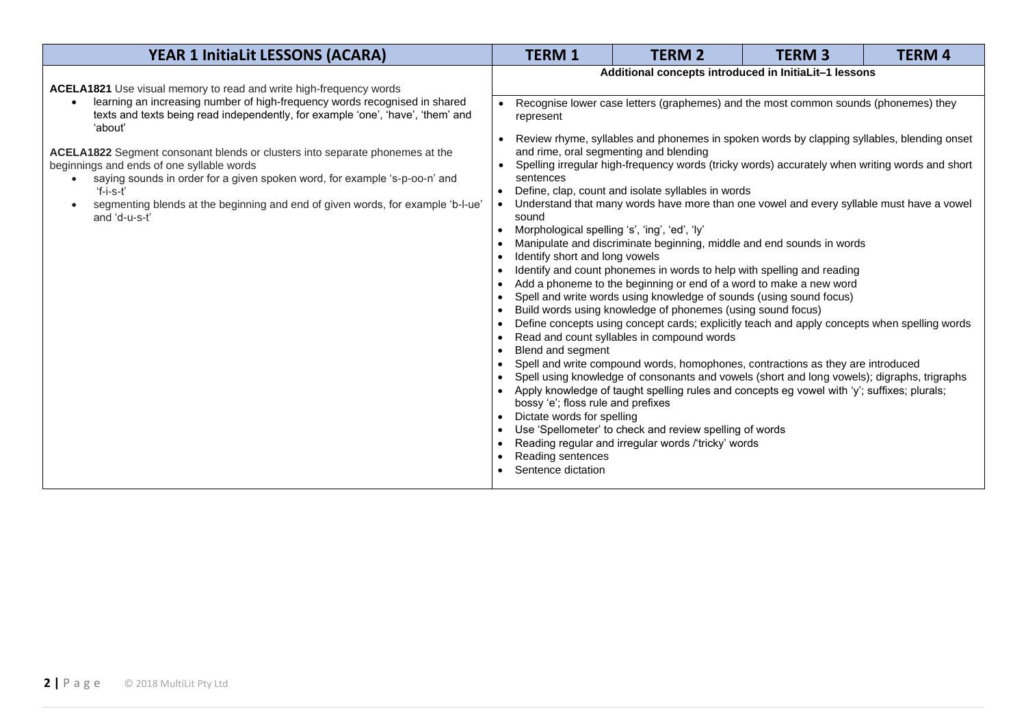| <b>YEAR 1 InitiaLit LESSONS (ACARA)</b>                                                                                                                                                                                                                                                                                                                                                                                                                                                                                                                                     | <b>TERM 1</b>                                                                                                                                                                                                                                                               | <b>TERM 2</b>                                                                                                                                                                                                                                                                                                                                                                                                                                                                                                                                                                                                                                                                                                                                                                                                                                                                                                                                                                                                                                                                   | <b>TERM3</b> | <b>TERM4</b> |  |  |
|-----------------------------------------------------------------------------------------------------------------------------------------------------------------------------------------------------------------------------------------------------------------------------------------------------------------------------------------------------------------------------------------------------------------------------------------------------------------------------------------------------------------------------------------------------------------------------|-----------------------------------------------------------------------------------------------------------------------------------------------------------------------------------------------------------------------------------------------------------------------------|---------------------------------------------------------------------------------------------------------------------------------------------------------------------------------------------------------------------------------------------------------------------------------------------------------------------------------------------------------------------------------------------------------------------------------------------------------------------------------------------------------------------------------------------------------------------------------------------------------------------------------------------------------------------------------------------------------------------------------------------------------------------------------------------------------------------------------------------------------------------------------------------------------------------------------------------------------------------------------------------------------------------------------------------------------------------------------|--------------|--------------|--|--|
|                                                                                                                                                                                                                                                                                                                                                                                                                                                                                                                                                                             |                                                                                                                                                                                                                                                                             | Additional concepts introduced in InitiaLit-1 lessons                                                                                                                                                                                                                                                                                                                                                                                                                                                                                                                                                                                                                                                                                                                                                                                                                                                                                                                                                                                                                           |              |              |  |  |
| ACELA1821 Use visual memory to read and write high-frequency words<br>learning an increasing number of high-frequency words recognised in shared<br>texts and texts being read independently, for example 'one', 'have', 'them' and<br>'about'<br>ACELA1822 Segment consonant blends or clusters into separate phonemes at the<br>beginnings and ends of one syllable words<br>saying sounds in order for a given spoken word, for example 's-p-oo-n' and<br>$f-i-s-t'$<br>segmenting blends at the beginning and end of given words, for example 'b-l-ue'<br>and 'd-u-s-t' | represent<br>sentences<br>sound<br>Morphological spelling 's', 'ing', 'ed', 'ly'<br>$\bullet$<br>Identify short and long vowels<br>$\bullet$<br>$\bullet$<br>$\bullet$<br>$\bullet$<br>$\bullet$<br>$\bullet$<br>Blend and segment<br>$\bullet$<br>$\bullet$<br>$\bullet$   | Recognise lower case letters (graphemes) and the most common sounds (phonemes) they<br>Review rhyme, syllables and phonemes in spoken words by clapping syllables, blending onset<br>and rime, oral segmenting and blending<br>Spelling irregular high-frequency words (tricky words) accurately when writing words and short<br>Define, clap, count and isolate syllables in words<br>Understand that many words have more than one vowel and every syllable must have a vowel<br>Manipulate and discriminate beginning, middle and end sounds in words<br>Identify and count phonemes in words to help with spelling and reading<br>Add a phoneme to the beginning or end of a word to make a new word<br>Spell and write words using knowledge of sounds (using sound focus)<br>Build words using knowledge of phonemes (using sound focus)<br>Define concepts using concept cards; explicitly teach and apply concepts when spelling words<br>Read and count syllables in compound words<br>Spell and write compound words, homophones, contractions as they are introduced |              |              |  |  |
|                                                                                                                                                                                                                                                                                                                                                                                                                                                                                                                                                                             | Spell using knowledge of consonants and vowels (short and long vowels); digraphs, trigraphs<br>Apply knowledge of taught spelling rules and concepts eg vowel with 'y'; suffixes; plurals;<br>bossy 'e'; floss rule and prefixes<br>Dictate words for spelling<br>$\bullet$ |                                                                                                                                                                                                                                                                                                                                                                                                                                                                                                                                                                                                                                                                                                                                                                                                                                                                                                                                                                                                                                                                                 |              |              |  |  |
|                                                                                                                                                                                                                                                                                                                                                                                                                                                                                                                                                                             | Use 'Spellometer' to check and review spelling of words<br>$\bullet$<br>Reading regular and irregular words /'tricky' words<br>$\bullet$                                                                                                                                    |                                                                                                                                                                                                                                                                                                                                                                                                                                                                                                                                                                                                                                                                                                                                                                                                                                                                                                                                                                                                                                                                                 |              |              |  |  |
|                                                                                                                                                                                                                                                                                                                                                                                                                                                                                                                                                                             | Reading sentences<br>Sentence dictation                                                                                                                                                                                                                                     |                                                                                                                                                                                                                                                                                                                                                                                                                                                                                                                                                                                                                                                                                                                                                                                                                                                                                                                                                                                                                                                                                 |              |              |  |  |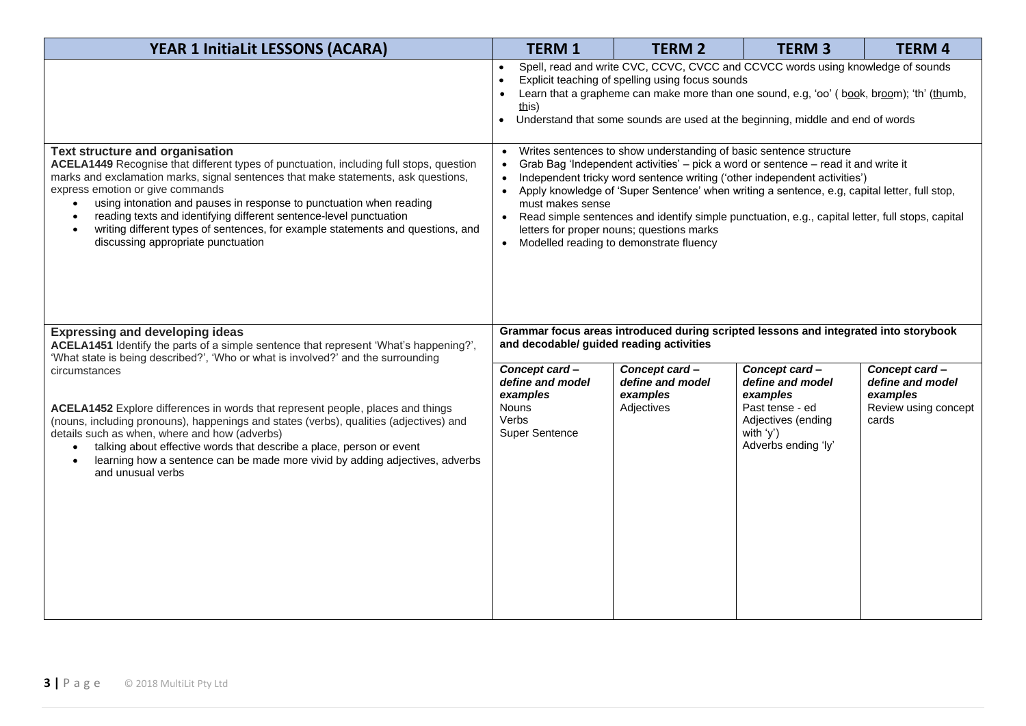| <b>YEAR 1 InitiaLit LESSONS (ACARA)</b>                                                                                                                                                                                                                                                                                                                                                                                                                                                                                                              | <b>TERM 1</b>                                                                                                                                                                                                                                                                                                                                                                                                                                                                                                                                                                                                            | <b>TERM 2</b>                                                                        | <b>TERM 3</b>                                                                                                                 | <b>TERM 4</b>                                                                  |  |  |
|------------------------------------------------------------------------------------------------------------------------------------------------------------------------------------------------------------------------------------------------------------------------------------------------------------------------------------------------------------------------------------------------------------------------------------------------------------------------------------------------------------------------------------------------------|--------------------------------------------------------------------------------------------------------------------------------------------------------------------------------------------------------------------------------------------------------------------------------------------------------------------------------------------------------------------------------------------------------------------------------------------------------------------------------------------------------------------------------------------------------------------------------------------------------------------------|--------------------------------------------------------------------------------------|-------------------------------------------------------------------------------------------------------------------------------|--------------------------------------------------------------------------------|--|--|
|                                                                                                                                                                                                                                                                                                                                                                                                                                                                                                                                                      | Spell, read and write CVC, CCVC, CVCC and CCVCC words using knowledge of sounds<br>Explicit teaching of spelling using focus sounds<br>$\bullet$<br>Learn that a grapheme can make more than one sound, e.g, 'oo' (book, broom); 'th' (thumb,<br>$\bullet$<br>this)<br>Understand that some sounds are used at the beginning, middle and end of words<br>$\bullet$                                                                                                                                                                                                                                                       |                                                                                      |                                                                                                                               |                                                                                |  |  |
| Text structure and organisation<br>ACELA1449 Recognise that different types of punctuation, including full stops, question<br>marks and exclamation marks, signal sentences that make statements, ask questions,<br>express emotion or give commands<br>using intonation and pauses in response to punctuation when reading<br>reading texts and identifying different sentence-level punctuation<br>$\bullet$<br>writing different types of sentences, for example statements and questions, and<br>$\bullet$<br>discussing appropriate punctuation | Writes sentences to show understanding of basic sentence structure<br>$\bullet$<br>Grab Bag 'Independent activities' - pick a word or sentence - read it and write it<br>$\bullet$<br>Independent tricky word sentence writing ('other independent activities')<br>$\bullet$<br>Apply knowledge of 'Super Sentence' when writing a sentence, e.g, capital letter, full stop,<br>$\bullet$<br>must makes sense<br>Read simple sentences and identify simple punctuation, e.g., capital letter, full stops, capital<br>$\bullet$<br>letters for proper nouns; questions marks<br>• Modelled reading to demonstrate fluency |                                                                                      |                                                                                                                               |                                                                                |  |  |
| <b>Expressing and developing ideas</b><br>ACELA1451 Identify the parts of a simple sentence that represent 'What's happening?',<br>'What state is being described?', 'Who or what is involved?' and the surrounding                                                                                                                                                                                                                                                                                                                                  | and decodable/ guided reading activities                                                                                                                                                                                                                                                                                                                                                                                                                                                                                                                                                                                 | Grammar focus areas introduced during scripted lessons and integrated into storybook |                                                                                                                               |                                                                                |  |  |
| circumstances<br>ACELA1452 Explore differences in words that represent people, places and things<br>(nouns, including pronouns), happenings and states (verbs), qualities (adjectives) and<br>details such as when, where and how (adverbs)<br>talking about effective words that describe a place, person or event<br>$\bullet$<br>learning how a sentence can be made more vivid by adding adjectives, adverbs<br>and unusual verbs                                                                                                                | Concept card-<br>define and model<br>examples<br><b>Nouns</b><br>Verbs<br><b>Super Sentence</b>                                                                                                                                                                                                                                                                                                                                                                                                                                                                                                                          | Concept card-<br>define and model<br>examples<br>Adjectives                          | Concept card-<br>define and model<br>examples<br>Past tense - ed<br>Adjectives (ending<br>with $'y'$ )<br>Adverbs ending 'ly' | Concept card-<br>define and model<br>examples<br>Review using concept<br>cards |  |  |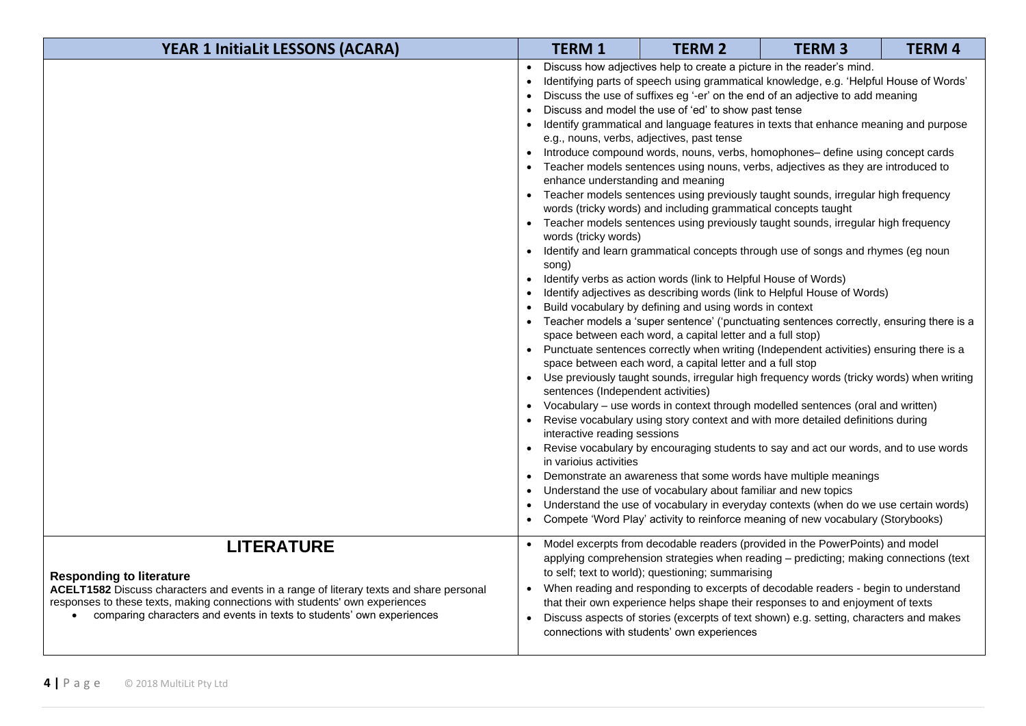| <b>YEAR 1 InitiaLit LESSONS (ACARA)</b>                                                                                                                                                                                                                                                                 | <b>TERM 1</b>                                                                                                                                                                                | <b>TERM 2</b>                                                                                                                                                                                                                                                                                                                                                                                                                                                                                                                                                            | <b>TERM3</b>                                                                                                                                                                                                                                                                                                                                                                                                                                                                                                                                                                                                                                                                                                                                                                                                                                                                                                                                                                                                                                                                                                                                                                                                                                                                                                                                                                                                                                                                                                                                                                        | <b>TERM 4</b> |
|---------------------------------------------------------------------------------------------------------------------------------------------------------------------------------------------------------------------------------------------------------------------------------------------------------|----------------------------------------------------------------------------------------------------------------------------------------------------------------------------------------------|--------------------------------------------------------------------------------------------------------------------------------------------------------------------------------------------------------------------------------------------------------------------------------------------------------------------------------------------------------------------------------------------------------------------------------------------------------------------------------------------------------------------------------------------------------------------------|-------------------------------------------------------------------------------------------------------------------------------------------------------------------------------------------------------------------------------------------------------------------------------------------------------------------------------------------------------------------------------------------------------------------------------------------------------------------------------------------------------------------------------------------------------------------------------------------------------------------------------------------------------------------------------------------------------------------------------------------------------------------------------------------------------------------------------------------------------------------------------------------------------------------------------------------------------------------------------------------------------------------------------------------------------------------------------------------------------------------------------------------------------------------------------------------------------------------------------------------------------------------------------------------------------------------------------------------------------------------------------------------------------------------------------------------------------------------------------------------------------------------------------------------------------------------------------------|---------------|
|                                                                                                                                                                                                                                                                                                         | enhance understanding and meaning<br>$\bullet$<br>words (tricky words)<br>song)<br>sentences (Independent activities)<br>interactive reading sessions<br>$\bullet$<br>in variolus activities | Discuss how adjectives help to create a picture in the reader's mind.<br>Discuss and model the use of 'ed' to show past tense<br>e.g., nouns, verbs, adjectives, past tense<br>words (tricky words) and including grammatical concepts taught<br>Identify verbs as action words (link to Helpful House of Words)<br>Build vocabulary by defining and using words in context<br>space between each word, a capital letter and a full stop)<br>space between each word, a capital letter and a full stop<br>Understand the use of vocabulary about familiar and new topics | Identifying parts of speech using grammatical knowledge, e.g. 'Helpful House of Words'<br>Discuss the use of suffixes eg '-er' on the end of an adjective to add meaning<br>Identify grammatical and language features in texts that enhance meaning and purpose<br>Introduce compound words, nouns, verbs, homophones- define using concept cards<br>Teacher models sentences using nouns, verbs, adjectives as they are introduced to<br>Teacher models sentences using previously taught sounds, irregular high frequency<br>Teacher models sentences using previously taught sounds, irregular high frequency<br>Identify and learn grammatical concepts through use of songs and rhymes (eg noun<br>Identify adjectives as describing words (link to Helpful House of Words)<br>Teacher models a 'super sentence' ('punctuating sentences correctly, ensuring there is a<br>Punctuate sentences correctly when writing (Independent activities) ensuring there is a<br>• Use previously taught sounds, irregular high frequency words (tricky words) when writing<br>Vocabulary - use words in context through modelled sentences (oral and written)<br>Revise vocabulary using story context and with more detailed definitions during<br>Revise vocabulary by encouraging students to say and act our words, and to use words<br>Demonstrate an awareness that some words have multiple meanings<br>Understand the use of vocabulary in everyday contexts (when do we use certain words)<br>Compete 'Word Play' activity to reinforce meaning of new vocabulary (Storybooks) |               |
| <b>LITERATURE</b><br><b>Responding to literature</b><br>ACELT1582 Discuss characters and events in a range of literary texts and share personal<br>responses to these texts, making connections with students' own experiences<br>comparing characters and events in texts to students' own experiences | $\bullet$                                                                                                                                                                                    | to self; text to world); questioning; summarising<br>connections with students' own experiences                                                                                                                                                                                                                                                                                                                                                                                                                                                                          | Model excerpts from decodable readers (provided in the PowerPoints) and model<br>applying comprehension strategies when reading - predicting; making connections (text<br>When reading and responding to excerpts of decodable readers - begin to understand<br>that their own experience helps shape their responses to and enjoyment of texts<br>Discuss aspects of stories (excerpts of text shown) e.g. setting, characters and makes                                                                                                                                                                                                                                                                                                                                                                                                                                                                                                                                                                                                                                                                                                                                                                                                                                                                                                                                                                                                                                                                                                                                           |               |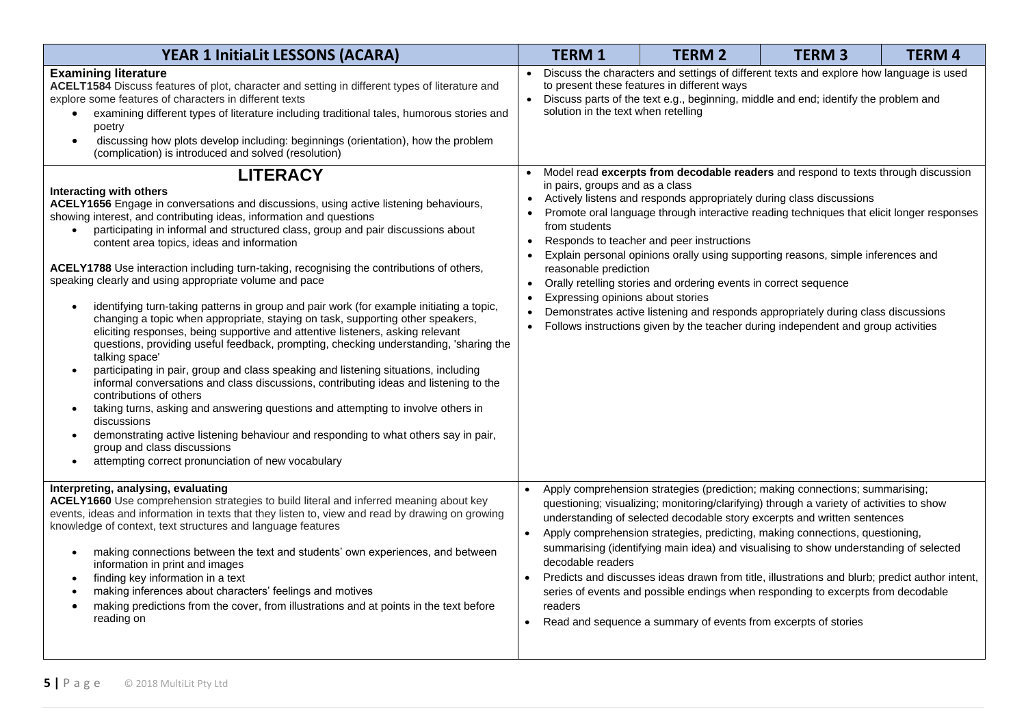| <b>YEAR 1 InitiaLit LESSONS (ACARA)</b>                                                                                                                                                                                                                                                                                                                                                                                                                                                                                                                                                                                                                                                                                                                                                                                                                                                                                                                                                                                                                                                                                                                                                                                                                                                                                                                                                                                |                                   | <b>TERM 1</b>                                                             | <b>TERM 2</b>                                                                                                                                                                                                              | <b>TERM 3</b>                                                                                                                                                                                                                                                                                                                                                                                                                                                                                                                                                                                                       | <b>TERM 4</b> |
|------------------------------------------------------------------------------------------------------------------------------------------------------------------------------------------------------------------------------------------------------------------------------------------------------------------------------------------------------------------------------------------------------------------------------------------------------------------------------------------------------------------------------------------------------------------------------------------------------------------------------------------------------------------------------------------------------------------------------------------------------------------------------------------------------------------------------------------------------------------------------------------------------------------------------------------------------------------------------------------------------------------------------------------------------------------------------------------------------------------------------------------------------------------------------------------------------------------------------------------------------------------------------------------------------------------------------------------------------------------------------------------------------------------------|-----------------------------------|---------------------------------------------------------------------------|----------------------------------------------------------------------------------------------------------------------------------------------------------------------------------------------------------------------------|---------------------------------------------------------------------------------------------------------------------------------------------------------------------------------------------------------------------------------------------------------------------------------------------------------------------------------------------------------------------------------------------------------------------------------------------------------------------------------------------------------------------------------------------------------------------------------------------------------------------|---------------|
| <b>Examining literature</b><br>ACELT1584 Discuss features of plot, character and setting in different types of literature and<br>explore some features of characters in different texts<br>examining different types of literature including traditional tales, humorous stories and<br>$\bullet$<br>poetry<br>discussing how plots develop including: beginnings (orientation), how the problem<br>$\bullet$<br>(complication) is introduced and solved (resolution)<br><b>LITERACY</b>                                                                                                                                                                                                                                                                                                                                                                                                                                                                                                                                                                                                                                                                                                                                                                                                                                                                                                                               | $\bullet$<br>$\bullet$            | solution in the text when retelling                                       | to present these features in different ways                                                                                                                                                                                | Discuss the characters and settings of different texts and explore how language is used<br>Discuss parts of the text e.g., beginning, middle and end; identify the problem and<br>Model read excerpts from decodable readers and respond to texts through discussion                                                                                                                                                                                                                                                                                                                                                |               |
| Interacting with others<br>ACELY1656 Engage in conversations and discussions, using active listening behaviours,<br>showing interest, and contributing ideas, information and questions<br>participating in informal and structured class, group and pair discussions about<br>content area topics, ideas and information<br>ACELY1788 Use interaction including turn-taking, recognising the contributions of others,<br>speaking clearly and using appropriate volume and pace<br>identifying turn-taking patterns in group and pair work (for example initiating a topic,<br>$\bullet$<br>changing a topic when appropriate, staying on task, supporting other speakers,<br>eliciting responses, being supportive and attentive listeners, asking relevant<br>questions, providing useful feedback, prompting, checking understanding, 'sharing the<br>talking space'<br>participating in pair, group and class speaking and listening situations, including<br>$\bullet$<br>informal conversations and class discussions, contributing ideas and listening to the<br>contributions of others<br>taking turns, asking and answering questions and attempting to involve others in<br>$\bullet$<br>discussions<br>demonstrating active listening behaviour and responding to what others say in pair,<br>$\bullet$<br>group and class discussions<br>attempting correct pronunciation of new vocabulary<br>$\bullet$ | $\bullet$<br>$\bullet$            | in pairs, groups and as a class<br>from students<br>reasonable prediction | Actively listens and responds appropriately during class discussions<br>Responds to teacher and peer instructions<br>Orally retelling stories and ordering events in correct sequence<br>Expressing opinions about stories | Promote oral language through interactive reading techniques that elicit longer responses<br>Explain personal opinions orally using supporting reasons, simple inferences and<br>Demonstrates active listening and responds appropriately during class discussions<br>Follows instructions given by the teacher during independent and group activities                                                                                                                                                                                                                                                             |               |
| Interpreting, analysing, evaluating<br>ACELY1660 Use comprehension strategies to build literal and inferred meaning about key<br>events, ideas and information in texts that they listen to, view and read by drawing on growing<br>knowledge of context, text structures and language features<br>making connections between the text and students' own experiences, and between<br>$\bullet$<br>information in print and images<br>finding key information in a text<br>$\bullet$<br>making inferences about characters' feelings and motives<br>$\bullet$<br>making predictions from the cover, from illustrations and at points in the text before<br>$\bullet$<br>reading on                                                                                                                                                                                                                                                                                                                                                                                                                                                                                                                                                                                                                                                                                                                                      | $\bullet$<br>$\bullet$<br>readers | decodable readers                                                         | Read and sequence a summary of events from excerpts of stories                                                                                                                                                             | Apply comprehension strategies (prediction; making connections; summarising;<br>questioning; visualizing; monitoring/clarifying) through a variety of activities to show<br>understanding of selected decodable story excerpts and written sentences<br>Apply comprehension strategies, predicting, making connections, questioning,<br>summarising (identifying main idea) and visualising to show understanding of selected<br>Predicts and discusses ideas drawn from title, illustrations and blurb; predict author intent,<br>series of events and possible endings when responding to excerpts from decodable |               |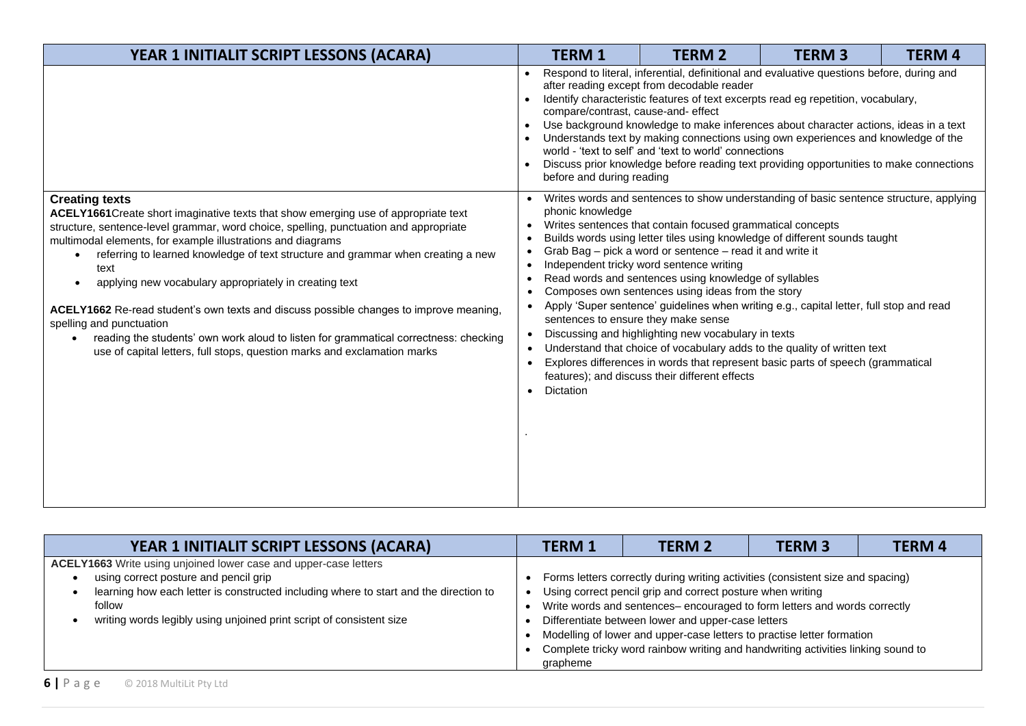| YEAR 1 INITIALIT SCRIPT LESSONS (ACARA)                                                                                                                                                                                                                                                                                                                                                                                                                                                                                                                                                                                                                                                                                           | <b>TERM 1</b>                                                                                                                                                                                                                                                                                                                                                                                                                                                                                                                                                                                                                                   |  | <b>TERM 2</b>                                                                                                                                                                                                                                                                                                                                                                                                                     | <b>TERM3</b>                                                                                                                                                                                                                                                                                                                                                                                                                   | <b>TERM4</b> |  |
|-----------------------------------------------------------------------------------------------------------------------------------------------------------------------------------------------------------------------------------------------------------------------------------------------------------------------------------------------------------------------------------------------------------------------------------------------------------------------------------------------------------------------------------------------------------------------------------------------------------------------------------------------------------------------------------------------------------------------------------|-------------------------------------------------------------------------------------------------------------------------------------------------------------------------------------------------------------------------------------------------------------------------------------------------------------------------------------------------------------------------------------------------------------------------------------------------------------------------------------------------------------------------------------------------------------------------------------------------------------------------------------------------|--|-----------------------------------------------------------------------------------------------------------------------------------------------------------------------------------------------------------------------------------------------------------------------------------------------------------------------------------------------------------------------------------------------------------------------------------|--------------------------------------------------------------------------------------------------------------------------------------------------------------------------------------------------------------------------------------------------------------------------------------------------------------------------------------------------------------------------------------------------------------------------------|--------------|--|
|                                                                                                                                                                                                                                                                                                                                                                                                                                                                                                                                                                                                                                                                                                                                   | Respond to literal, inferential, definitional and evaluative questions before, during and<br>after reading except from decodable reader<br>Identify characteristic features of text excerpts read eg repetition, vocabulary,<br>compare/contrast, cause-and- effect<br>Use background knowledge to make inferences about character actions, ideas in a text<br>$\bullet$<br>Understands text by making connections using own experiences and knowledge of the<br>world - 'text to self' and 'text to world' connections<br>Discuss prior knowledge before reading text providing opportunities to make connections<br>before and during reading |  |                                                                                                                                                                                                                                                                                                                                                                                                                                   |                                                                                                                                                                                                                                                                                                                                                                                                                                |              |  |
| <b>Creating texts</b><br>ACELY1661 Create short imaginative texts that show emerging use of appropriate text<br>structure, sentence-level grammar, word choice, spelling, punctuation and appropriate<br>multimodal elements, for example illustrations and diagrams<br>referring to learned knowledge of text structure and grammar when creating a new<br>text<br>applying new vocabulary appropriately in creating text<br>ACELY1662 Re-read student's own texts and discuss possible changes to improve meaning,<br>spelling and punctuation<br>reading the students' own work aloud to listen for grammatical correctness: checking<br>$\bullet$<br>use of capital letters, full stops, question marks and exclamation marks | phonic knowledge<br>$\bullet$<br>$\bullet$<br>$\bullet$<br>$\bullet$<br>$\bullet$<br>$\bullet$<br>Dictation                                                                                                                                                                                                                                                                                                                                                                                                                                                                                                                                     |  | Writes sentences that contain focused grammatical concepts<br>Grab Bag - pick a word or sentence - read it and write it<br>Independent tricky word sentence writing<br>Read words and sentences using knowledge of syllables<br>Composes own sentences using ideas from the story<br>sentences to ensure they make sense<br>Discussing and highlighting new vocabulary in texts<br>features); and discuss their different effects | Writes words and sentences to show understanding of basic sentence structure, applying<br>Builds words using letter tiles using knowledge of different sounds taught<br>Apply 'Super sentence' guidelines when writing e.g., capital letter, full stop and read<br>Understand that choice of vocabulary adds to the quality of written text<br>Explores differences in words that represent basic parts of speech (grammatical |              |  |

| YEAR 1 INITIALIT SCRIPT LESSONS (ACARA)                                                                                                                                                                                                                                              | <b>TERM 1</b>                                                                                                                                                                                                                                                                                                                                                                                                                                             | <b>TERM 2</b> | <b>TERM 3</b> | <b>TERM4</b> |
|--------------------------------------------------------------------------------------------------------------------------------------------------------------------------------------------------------------------------------------------------------------------------------------|-----------------------------------------------------------------------------------------------------------------------------------------------------------------------------------------------------------------------------------------------------------------------------------------------------------------------------------------------------------------------------------------------------------------------------------------------------------|---------------|---------------|--------------|
| ACELY1663 Write using unjoined lower case and upper-case letters<br>using correct posture and pencil grip<br>learning how each letter is constructed including where to start and the direction to<br>follow<br>writing words legibly using unjoined print script of consistent size | Forms letters correctly during writing activities (consistent size and spacing)<br>Using correct pencil grip and correct posture when writing<br>Write words and sentences-encouraged to form letters and words correctly<br>Differentiate between lower and upper-case letters<br>Modelling of lower and upper-case letters to practise letter formation<br>Complete tricky word rainbow writing and handwriting activities linking sound to<br>grapheme |               |               |              |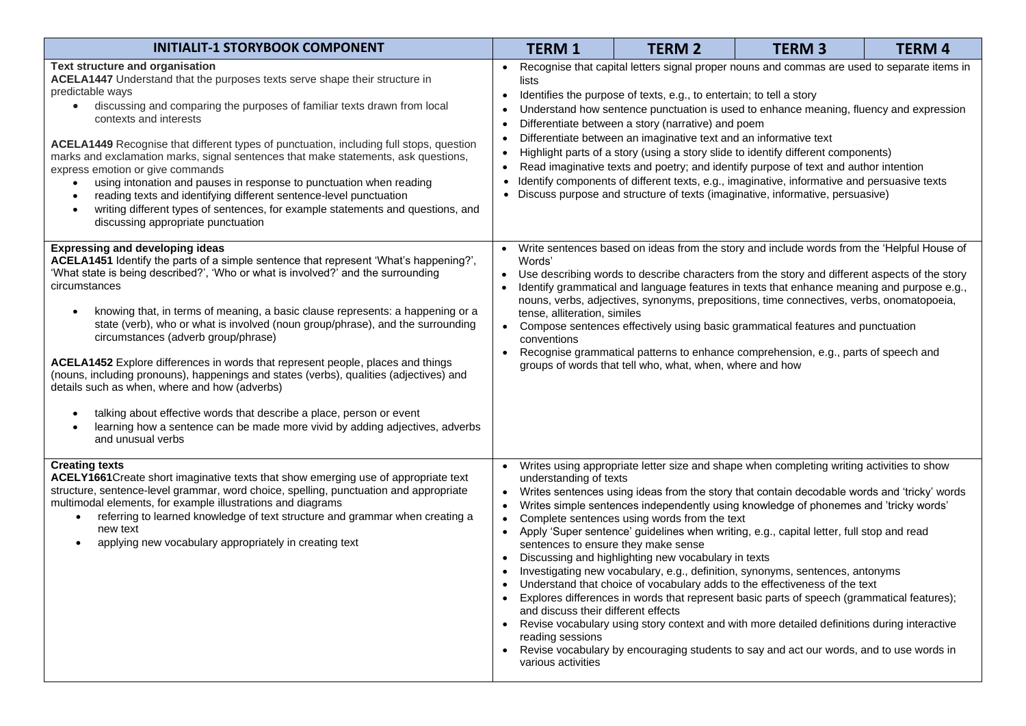| <b>INITIALIT-1 STORYBOOK COMPONENT</b>                                                                                                                                                                                                                                                                                                                                                                                                                                                                                                                                                                                                                                                                                                                                                                                                                                                            | <b>TERM1</b>                                                                                                                                                                                                                                                                                                                                                                                                                                                                                                                                                                                                                                                                                                                                                                                                                                                                                                                                                                                                                                                                                                                                                  | <b>TERM 2</b>                                                                                                                                                                                                                                                                                                                                                                                                                                                                                                                                                                                                                                             | <b>TERM3</b> | <b>TERM 4</b> |  |  |  |
|---------------------------------------------------------------------------------------------------------------------------------------------------------------------------------------------------------------------------------------------------------------------------------------------------------------------------------------------------------------------------------------------------------------------------------------------------------------------------------------------------------------------------------------------------------------------------------------------------------------------------------------------------------------------------------------------------------------------------------------------------------------------------------------------------------------------------------------------------------------------------------------------------|---------------------------------------------------------------------------------------------------------------------------------------------------------------------------------------------------------------------------------------------------------------------------------------------------------------------------------------------------------------------------------------------------------------------------------------------------------------------------------------------------------------------------------------------------------------------------------------------------------------------------------------------------------------------------------------------------------------------------------------------------------------------------------------------------------------------------------------------------------------------------------------------------------------------------------------------------------------------------------------------------------------------------------------------------------------------------------------------------------------------------------------------------------------|-----------------------------------------------------------------------------------------------------------------------------------------------------------------------------------------------------------------------------------------------------------------------------------------------------------------------------------------------------------------------------------------------------------------------------------------------------------------------------------------------------------------------------------------------------------------------------------------------------------------------------------------------------------|--------------|---------------|--|--|--|
| Text structure and organisation<br>ACELA1447 Understand that the purposes texts serve shape their structure in<br>predictable ways<br>• discussing and comparing the purposes of familiar texts drawn from local<br>contexts and interests<br>ACELA1449 Recognise that different types of punctuation, including full stops, question<br>marks and exclamation marks, signal sentences that make statements, ask questions,<br>express emotion or give commands<br>using intonation and pauses in response to punctuation when reading<br>reading texts and identifying different sentence-level punctuation<br>$\bullet$<br>writing different types of sentences, for example statements and questions, and<br>$\bullet$<br>discussing appropriate punctuation                                                                                                                                   | Recognise that capital letters signal proper nouns and commas are used to separate items in<br>lists<br>Identifies the purpose of texts, e.g., to entertain; to tell a story<br>$\bullet$<br>Understand how sentence punctuation is used to enhance meaning, fluency and expression<br>Differentiate between a story (narrative) and poem<br>Differentiate between an imaginative text and an informative text<br>$\bullet$<br>Highlight parts of a story (using a story slide to identify different components)<br>$\bullet$<br>Read imaginative texts and poetry; and identify purpose of text and author intention<br>$\bullet$<br>Identify components of different texts, e.g., imaginative, informative and persuasive texts<br>• Discuss purpose and structure of texts (imaginative, informative, persuasive)                                                                                                                                                                                                                                                                                                                                          |                                                                                                                                                                                                                                                                                                                                                                                                                                                                                                                                                                                                                                                           |              |               |  |  |  |
| <b>Expressing and developing ideas</b><br>ACELA1451 Identify the parts of a simple sentence that represent 'What's happening?',<br>'What state is being described?', 'Who or what is involved?' and the surrounding<br>circumstances<br>knowing that, in terms of meaning, a basic clause represents: a happening or a<br>$\bullet$<br>state (verb), who or what is involved (noun group/phrase), and the surrounding<br>circumstances (adverb group/phrase)<br>ACELA1452 Explore differences in words that represent people, places and things<br>(nouns, including pronouns), happenings and states (verbs), qualities (adjectives) and<br>details such as when, where and how (adverbs)<br>talking about effective words that describe a place, person or event<br>$\bullet$<br>learning how a sentence can be made more vivid by adding adjectives, adverbs<br>$\bullet$<br>and unusual verbs | $\bullet$<br>Words'<br>$\bullet$<br>$\bullet$<br>$\bullet$<br>conventions<br>$\bullet$                                                                                                                                                                                                                                                                                                                                                                                                                                                                                                                                                                                                                                                                                                                                                                                                                                                                                                                                                                                                                                                                        | Write sentences based on ideas from the story and include words from the 'Helpful House of<br>Use describing words to describe characters from the story and different aspects of the story<br>Identify grammatical and language features in texts that enhance meaning and purpose e.g.,<br>nouns, verbs, adjectives, synonyms, prepositions, time connectives, verbs, onomatopoeia,<br>tense, alliteration, similes<br>Compose sentences effectively using basic grammatical features and punctuation<br>Recognise grammatical patterns to enhance comprehension, e.g., parts of speech and<br>groups of words that tell who, what, when, where and how |              |               |  |  |  |
| <b>Creating texts</b><br>ACELY1661 Create short imaginative texts that show emerging use of appropriate text<br>structure, sentence-level grammar, word choice, spelling, punctuation and appropriate<br>multimodal elements, for example illustrations and diagrams<br>referring to learned knowledge of text structure and grammar when creating a<br>$\bullet$<br>new text<br>applying new vocabulary appropriately in creating text                                                                                                                                                                                                                                                                                                                                                                                                                                                           | Writes using appropriate letter size and shape when completing writing activities to show<br>$\bullet$<br>understanding of texts<br>Writes sentences using ideas from the story that contain decodable words and 'tricky' words<br>$\bullet$<br>Writes simple sentences independently using knowledge of phonemes and 'tricky words'<br>$\bullet$<br>Complete sentences using words from the text<br>Apply 'Super sentence' guidelines when writing, e.g., capital letter, full stop and read<br>$\bullet$<br>sentences to ensure they make sense<br>Discussing and highlighting new vocabulary in texts<br>$\bullet$<br>Investigating new vocabulary, e.g., definition, synonyms, sentences, antonyms<br>Understand that choice of vocabulary adds to the effectiveness of the text<br>Explores differences in words that represent basic parts of speech (grammatical features);<br>and discuss their different effects<br>Revise vocabulary using story context and with more detailed definitions during interactive<br>reading sessions<br>Revise vocabulary by encouraging students to say and act our words, and to use words in<br>various activities |                                                                                                                                                                                                                                                                                                                                                                                                                                                                                                                                                                                                                                                           |              |               |  |  |  |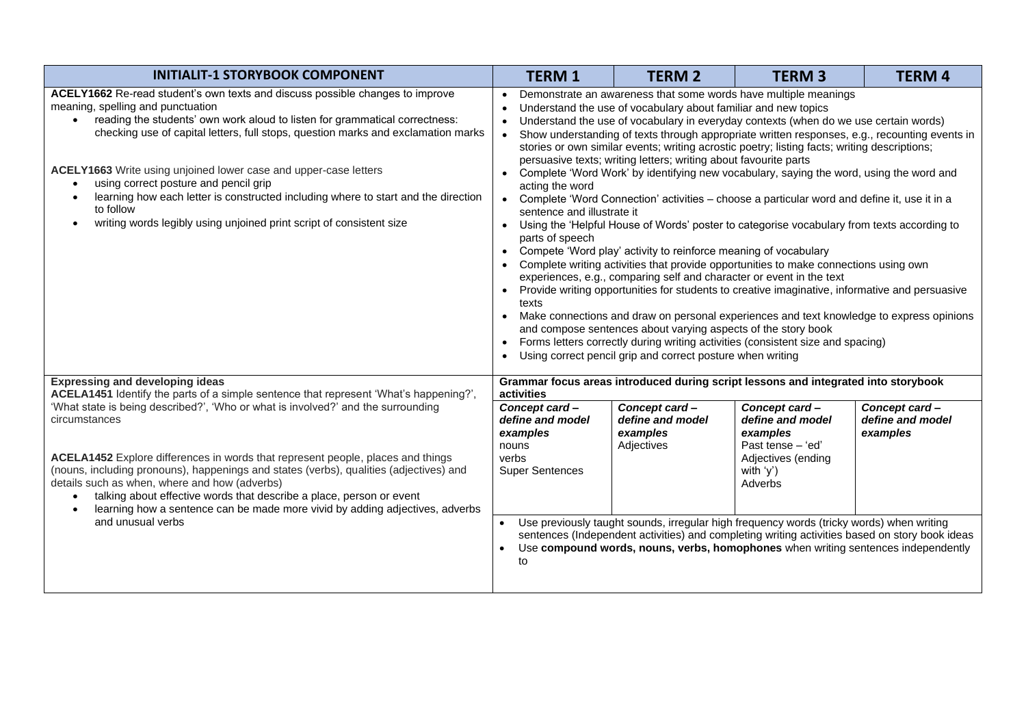| <b>INITIALIT-1 STORYBOOK COMPONENT</b>                                                                                                                                                                                                                                                                                                                                                                                                                                                                                                                                         | <b>TERM 1</b>                                                                                                                                                                                                                                                                                                                                                                                                                                                                                                                                                                                                                                                                                                                                                                                                                                                                                                                                                                                                                                                                                                                                                                                                                                                                                                                                                                                                                                                                                                                                                                                                     | <b>TERM 2</b>                                               | <b>TERM 3</b>                                                                                                                                                                                                                                                                   | <b>TERM 4</b>                                 |  |
|--------------------------------------------------------------------------------------------------------------------------------------------------------------------------------------------------------------------------------------------------------------------------------------------------------------------------------------------------------------------------------------------------------------------------------------------------------------------------------------------------------------------------------------------------------------------------------|-------------------------------------------------------------------------------------------------------------------------------------------------------------------------------------------------------------------------------------------------------------------------------------------------------------------------------------------------------------------------------------------------------------------------------------------------------------------------------------------------------------------------------------------------------------------------------------------------------------------------------------------------------------------------------------------------------------------------------------------------------------------------------------------------------------------------------------------------------------------------------------------------------------------------------------------------------------------------------------------------------------------------------------------------------------------------------------------------------------------------------------------------------------------------------------------------------------------------------------------------------------------------------------------------------------------------------------------------------------------------------------------------------------------------------------------------------------------------------------------------------------------------------------------------------------------------------------------------------------------|-------------------------------------------------------------|---------------------------------------------------------------------------------------------------------------------------------------------------------------------------------------------------------------------------------------------------------------------------------|-----------------------------------------------|--|
| ACELY1662 Re-read student's own texts and discuss possible changes to improve<br>meaning, spelling and punctuation<br>reading the students' own work aloud to listen for grammatical correctness:<br>checking use of capital letters, full stops, question marks and exclamation marks<br>ACELY1663 Write using unjoined lower case and upper-case letters<br>using correct posture and pencil grip<br>learning how each letter is constructed including where to start and the direction<br>to follow<br>writing words legibly using unjoined print script of consistent size | Demonstrate an awareness that some words have multiple meanings<br>$\bullet$<br>Understand the use of vocabulary about familiar and new topics<br>$\bullet$<br>Understand the use of vocabulary in everyday contexts (when do we use certain words)<br>$\bullet$<br>Show understanding of texts through appropriate written responses, e.g., recounting events in<br>stories or own similar events; writing acrostic poetry; listing facts; writing descriptions;<br>persuasive texts; writing letters; writing about favourite parts<br>Complete 'Word Work' by identifying new vocabulary, saying the word, using the word and<br>acting the word<br>Complete 'Word Connection' activities – choose a particular word and define it, use it in a<br>$\bullet$<br>sentence and illustrate it<br>Using the 'Helpful House of Words' poster to categorise vocabulary from texts according to<br>parts of speech<br>Compete 'Word play' activity to reinforce meaning of vocabulary<br>$\bullet$<br>Complete writing activities that provide opportunities to make connections using own<br>experiences, e.g., comparing self and character or event in the text<br>Provide writing opportunities for students to creative imaginative, informative and persuasive<br>$\bullet$<br>texts<br>Make connections and draw on personal experiences and text knowledge to express opinions<br>and compose sentences about varying aspects of the story book<br>Forms letters correctly during writing activities (consistent size and spacing)<br>Using correct pencil grip and correct posture when writing<br>$\bullet$ |                                                             |                                                                                                                                                                                                                                                                                 |                                               |  |
| <b>Expressing and developing ideas</b><br>ACELA1451 Identify the parts of a simple sentence that represent 'What's happening?',                                                                                                                                                                                                                                                                                                                                                                                                                                                | activities                                                                                                                                                                                                                                                                                                                                                                                                                                                                                                                                                                                                                                                                                                                                                                                                                                                                                                                                                                                                                                                                                                                                                                                                                                                                                                                                                                                                                                                                                                                                                                                                        |                                                             | Grammar focus areas introduced during script lessons and integrated into storybook                                                                                                                                                                                              |                                               |  |
| 'What state is being described?', 'Who or what is involved?' and the surrounding<br>circumstances<br>ACELA1452 Explore differences in words that represent people, places and things<br>(nouns, including pronouns), happenings and states (verbs), qualities (adjectives) and<br>details such as when, where and how (adverbs)<br>talking about effective words that describe a place, person or event<br>$\bullet$<br>learning how a sentence can be made more vivid by adding adjectives, adverbs<br>$\bullet$<br>and unusual verbs                                         | Concept card-<br>define and model<br>examples<br>nouns<br>verbs<br><b>Super Sentences</b>                                                                                                                                                                                                                                                                                                                                                                                                                                                                                                                                                                                                                                                                                                                                                                                                                                                                                                                                                                                                                                                                                                                                                                                                                                                                                                                                                                                                                                                                                                                         | Concept card-<br>define and model<br>examples<br>Adjectives | Concept card-<br>define and model<br>examples<br>Past tense - 'ed'<br>Adjectives (ending<br>with 'y')<br>Adverbs                                                                                                                                                                | Concept card-<br>define and model<br>examples |  |
|                                                                                                                                                                                                                                                                                                                                                                                                                                                                                                                                                                                | to                                                                                                                                                                                                                                                                                                                                                                                                                                                                                                                                                                                                                                                                                                                                                                                                                                                                                                                                                                                                                                                                                                                                                                                                                                                                                                                                                                                                                                                                                                                                                                                                                |                                                             | Use previously taught sounds, irregular high frequency words (tricky words) when writing<br>sentences (Independent activities) and completing writing activities based on story book ideas<br>Use compound words, nouns, verbs, homophones when writing sentences independently |                                               |  |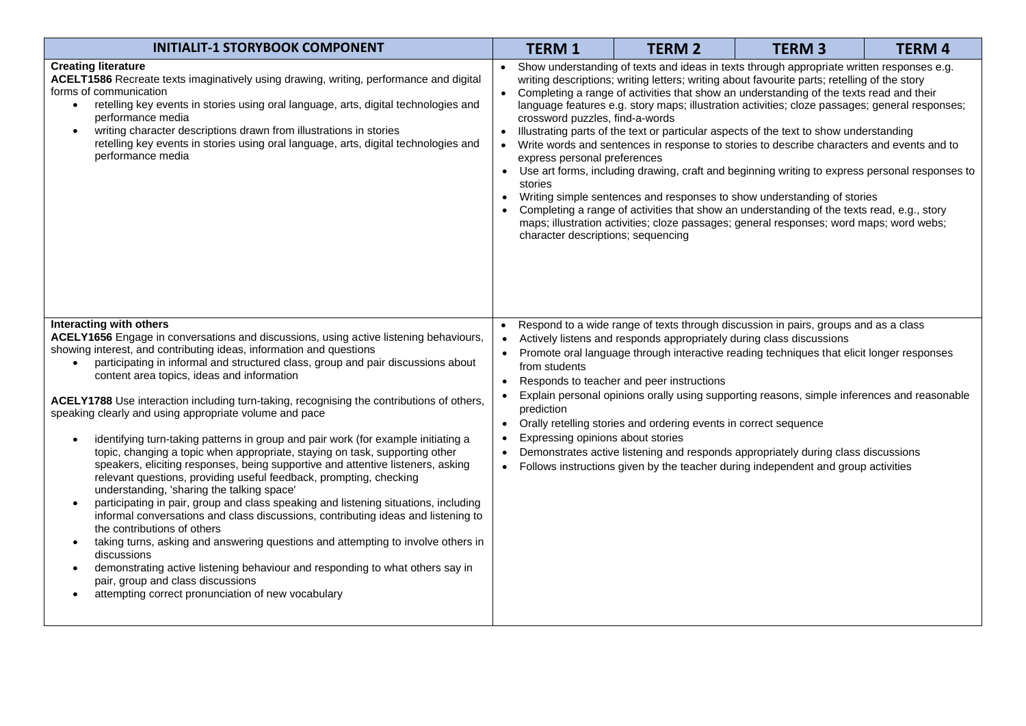| <b>INITIALIT-1 STORYBOOK COMPONENT</b>                                                                                                                                                                                                                                                                                                                                                                                                                                                                                                                                                                                                                                                                                                                                                                                                                                                                                                                                                                                                                                                                                                                                                                                                                                                                                                                                                                                 | <b>TERM 1</b>                                                                                                                                                                                                                                                                                                                                                                                                                                                                                                                                                                                                                                                                                                                                                                                                                                                                                                                                                                                                                                                                                     | <b>TERM 2</b> | <b>TERM3</b> | <b>TERM4</b> |  |  |
|------------------------------------------------------------------------------------------------------------------------------------------------------------------------------------------------------------------------------------------------------------------------------------------------------------------------------------------------------------------------------------------------------------------------------------------------------------------------------------------------------------------------------------------------------------------------------------------------------------------------------------------------------------------------------------------------------------------------------------------------------------------------------------------------------------------------------------------------------------------------------------------------------------------------------------------------------------------------------------------------------------------------------------------------------------------------------------------------------------------------------------------------------------------------------------------------------------------------------------------------------------------------------------------------------------------------------------------------------------------------------------------------------------------------|---------------------------------------------------------------------------------------------------------------------------------------------------------------------------------------------------------------------------------------------------------------------------------------------------------------------------------------------------------------------------------------------------------------------------------------------------------------------------------------------------------------------------------------------------------------------------------------------------------------------------------------------------------------------------------------------------------------------------------------------------------------------------------------------------------------------------------------------------------------------------------------------------------------------------------------------------------------------------------------------------------------------------------------------------------------------------------------------------|---------------|--------------|--------------|--|--|
| <b>Creating literature</b><br>ACELT1586 Recreate texts imaginatively using drawing, writing, performance and digital<br>forms of communication<br>retelling key events in stories using oral language, arts, digital technologies and<br>$\bullet$<br>performance media<br>writing character descriptions drawn from illustrations in stories<br>$\bullet$<br>retelling key events in stories using oral language, arts, digital technologies and<br>performance media                                                                                                                                                                                                                                                                                                                                                                                                                                                                                                                                                                                                                                                                                                                                                                                                                                                                                                                                                 | Show understanding of texts and ideas in texts through appropriate written responses e.g.<br>writing descriptions; writing letters; writing about favourite parts; retelling of the story<br>Completing a range of activities that show an understanding of the texts read and their<br>$\bullet$<br>language features e.g. story maps; illustration activities; cloze passages; general responses;<br>crossword puzzles, find-a-words<br>Illustrating parts of the text or particular aspects of the text to show understanding<br>Write words and sentences in response to stories to describe characters and events and to<br>express personal preferences<br>Use art forms, including drawing, craft and beginning writing to express personal responses to<br>stories<br>Writing simple sentences and responses to show understanding of stories<br>$\bullet$<br>Completing a range of activities that show an understanding of the texts read, e.g., story<br>maps; illustration activities; cloze passages; general responses; word maps; word webs;<br>character descriptions; sequencing |               |              |              |  |  |
| Interacting with others<br>ACELY1656 Engage in conversations and discussions, using active listening behaviours,<br>showing interest, and contributing ideas, information and questions<br>participating in informal and structured class, group and pair discussions about<br>$\bullet$<br>content area topics, ideas and information<br>ACELY1788 Use interaction including turn-taking, recognising the contributions of others,<br>speaking clearly and using appropriate volume and pace<br>identifying turn-taking patterns in group and pair work (for example initiating a<br>$\bullet$<br>topic, changing a topic when appropriate, staying on task, supporting other<br>speakers, eliciting responses, being supportive and attentive listeners, asking<br>relevant questions, providing useful feedback, prompting, checking<br>understanding, 'sharing the talking space'<br>participating in pair, group and class speaking and listening situations, including<br>$\bullet$<br>informal conversations and class discussions, contributing ideas and listening to<br>the contributions of others<br>taking turns, asking and answering questions and attempting to involve others in<br>$\bullet$<br>discussions<br>demonstrating active listening behaviour and responding to what others say in<br>pair, group and class discussions<br>attempting correct pronunciation of new vocabulary<br>$\bullet$ | Respond to a wide range of texts through discussion in pairs, groups and as a class<br>Actively listens and responds appropriately during class discussions<br>• Promote oral language through interactive reading techniques that elicit longer responses<br>from students<br>Responds to teacher and peer instructions<br>$\bullet$<br>Explain personal opinions orally using supporting reasons, simple inferences and reasonable<br>prediction<br>• Orally retelling stories and ordering events in correct sequence<br>Expressing opinions about stories<br>Demonstrates active listening and responds appropriately during class discussions<br>$\bullet$<br>Follows instructions given by the teacher during independent and group activities<br>$\bullet$                                                                                                                                                                                                                                                                                                                                 |               |              |              |  |  |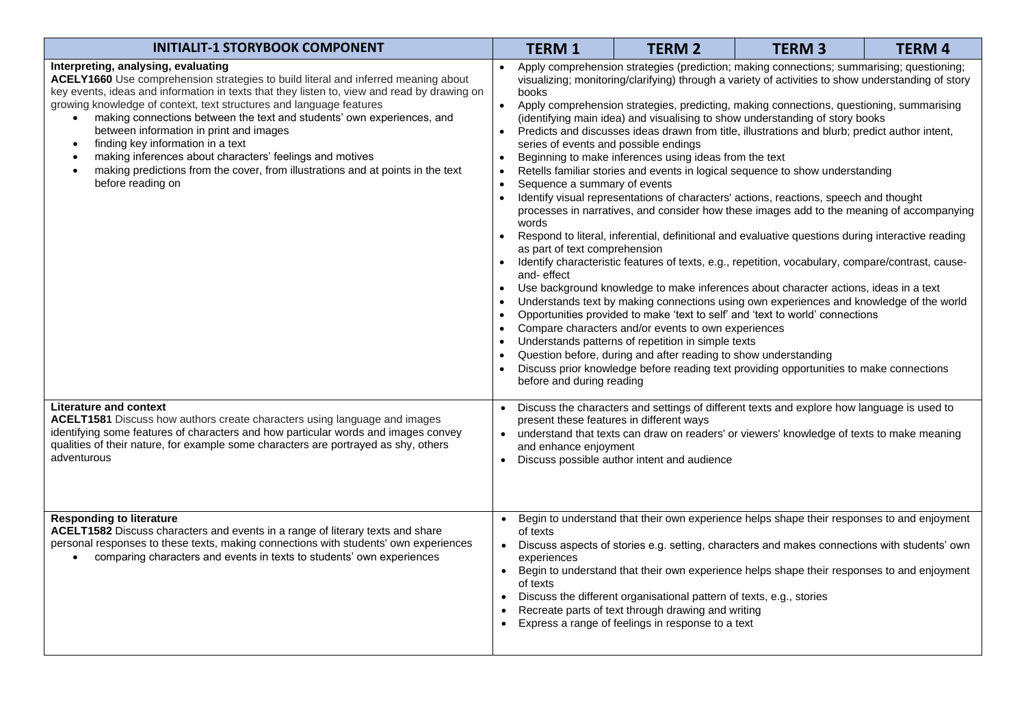| <b>INITIALIT-1 STORYBOOK COMPONENT</b>                                                                                                                                                                                                                                                                                                                                                                                                                                                                                                                                                                                                                                            | <b>TERM1</b>                                                                                                                                                                                                                                                                                                                                                                                                                                                                                                                                                                                                                                                                                                                                                                                                                                                                                                                                                                                                                                                                                                                                                                                                                                                                                                                                                                                                                                                                                                                                                                                                                                                                                                                                                                                                                      | <b>TERM 2</b> | <b>TERM 3</b> | <b>TERM4</b> |  |  |
|-----------------------------------------------------------------------------------------------------------------------------------------------------------------------------------------------------------------------------------------------------------------------------------------------------------------------------------------------------------------------------------------------------------------------------------------------------------------------------------------------------------------------------------------------------------------------------------------------------------------------------------------------------------------------------------|-----------------------------------------------------------------------------------------------------------------------------------------------------------------------------------------------------------------------------------------------------------------------------------------------------------------------------------------------------------------------------------------------------------------------------------------------------------------------------------------------------------------------------------------------------------------------------------------------------------------------------------------------------------------------------------------------------------------------------------------------------------------------------------------------------------------------------------------------------------------------------------------------------------------------------------------------------------------------------------------------------------------------------------------------------------------------------------------------------------------------------------------------------------------------------------------------------------------------------------------------------------------------------------------------------------------------------------------------------------------------------------------------------------------------------------------------------------------------------------------------------------------------------------------------------------------------------------------------------------------------------------------------------------------------------------------------------------------------------------------------------------------------------------------------------------------------------------|---------------|---------------|--------------|--|--|
| Interpreting, analysing, evaluating<br>ACELY1660 Use comprehension strategies to build literal and inferred meaning about<br>key events, ideas and information in texts that they listen to, view and read by drawing on<br>growing knowledge of context, text structures and language features<br>making connections between the text and students' own experiences, and<br>$\bullet$<br>between information in print and images<br>finding key information in a text<br>$\bullet$<br>making inferences about characters' feelings and motives<br>$\bullet$<br>making predictions from the cover, from illustrations and at points in the text<br>$\bullet$<br>before reading on | Apply comprehension strategies (prediction; making connections; summarising; questioning;<br>visualizing; monitoring/clarifying) through a variety of activities to show understanding of story<br>books<br>Apply comprehension strategies, predicting, making connections, questioning, summarising<br>$\bullet$<br>(identifying main idea) and visualising to show understanding of story books<br>Predicts and discusses ideas drawn from title, illustrations and blurb; predict author intent,<br>series of events and possible endings<br>Beginning to make inferences using ideas from the text<br>$\bullet$<br>Retells familiar stories and events in logical sequence to show understanding<br>Sequence a summary of events<br>٠<br>Identify visual representations of characters' actions, reactions, speech and thought<br>processes in narratives, and consider how these images add to the meaning of accompanying<br>words<br>Respond to literal, inferential, definitional and evaluative questions during interactive reading<br>$\bullet$<br>as part of text comprehension<br>Identify characteristic features of texts, e.g., repetition, vocabulary, compare/contrast, cause-<br>$\bullet$<br>and-effect<br>Use background knowledge to make inferences about character actions, ideas in a text<br>Understands text by making connections using own experiences and knowledge of the world<br>$\bullet$<br>Opportunities provided to make 'text to self' and 'text to world' connections<br>Compare characters and/or events to own experiences<br>$\bullet$<br>Understands patterns of repetition in simple texts<br>Question before, during and after reading to show understanding<br>Discuss prior knowledge before reading text providing opportunities to make connections<br>before and during reading |               |               |              |  |  |
| Literature and context<br>ACELT1581 Discuss how authors create characters using language and images<br>identifying some features of characters and how particular words and images convey<br>qualities of their nature, for example some characters are portrayed as shy, others<br>adventurous                                                                                                                                                                                                                                                                                                                                                                                   | • Discuss the characters and settings of different texts and explore how language is used to<br>present these features in different ways<br>• understand that texts can draw on readers' or viewers' knowledge of texts to make meaning<br>and enhance enjoyment<br>• Discuss possible author intent and audience                                                                                                                                                                                                                                                                                                                                                                                                                                                                                                                                                                                                                                                                                                                                                                                                                                                                                                                                                                                                                                                                                                                                                                                                                                                                                                                                                                                                                                                                                                                 |               |               |              |  |  |
| <b>Responding to literature</b><br>ACELT1582 Discuss characters and events in a range of literary texts and share<br>personal responses to these texts, making connections with students' own experiences<br>comparing characters and events in texts to students' own experiences                                                                                                                                                                                                                                                                                                                                                                                                | Begin to understand that their own experience helps shape their responses to and enjoyment<br>of texts<br>Discuss aspects of stories e.g. setting, characters and makes connections with students' own<br>$\bullet$<br>experiences<br>Begin to understand that their own experience helps shape their responses to and enjoyment<br>$\bullet$<br>of texts<br>Discuss the different organisational pattern of texts, e.g., stories<br>Recreate parts of text through drawing and writing<br>Express a range of feelings in response to a text                                                                                                                                                                                                                                                                                                                                                                                                                                                                                                                                                                                                                                                                                                                                                                                                                                                                                                                                                                                                                                                                                                                                                                                                                                                                                      |               |               |              |  |  |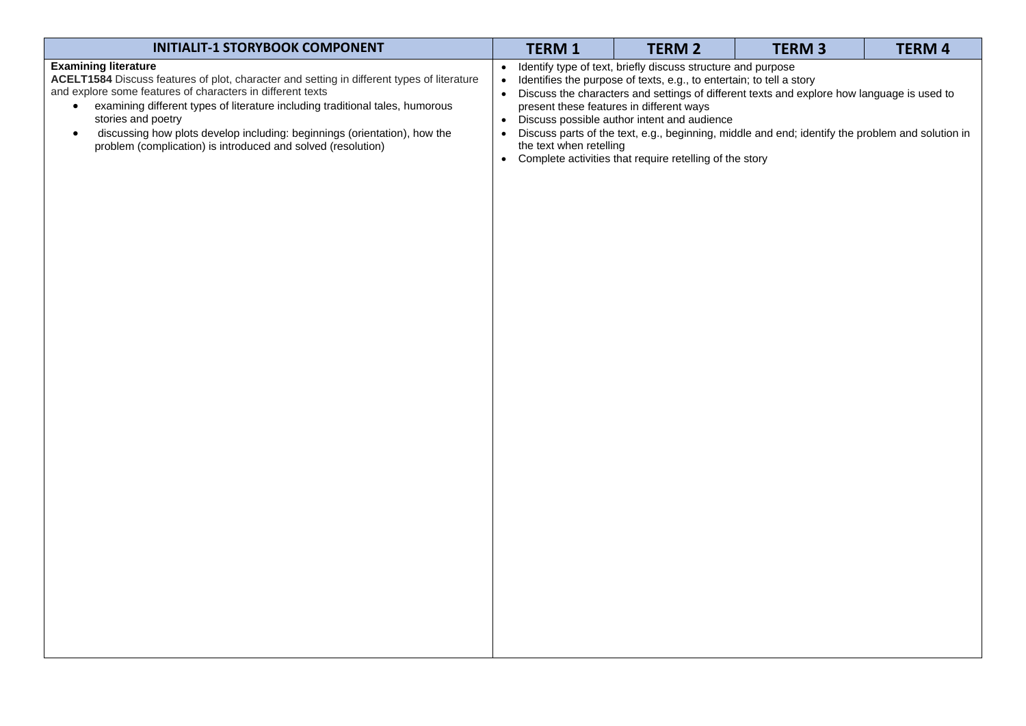| <b>INITIALIT-1 STORYBOOK COMPONENT</b>                                                                                                                                                                                                                                                                                                                                                                                                      | <b>TERM 1</b>           | <b>TERM 2</b>                                                                                                                                                                                                                                                                              | <b>TERM 3</b>                                                                                                                                                                                  | <b>TERM 4</b> |
|---------------------------------------------------------------------------------------------------------------------------------------------------------------------------------------------------------------------------------------------------------------------------------------------------------------------------------------------------------------------------------------------------------------------------------------------|-------------------------|--------------------------------------------------------------------------------------------------------------------------------------------------------------------------------------------------------------------------------------------------------------------------------------------|------------------------------------------------------------------------------------------------------------------------------------------------------------------------------------------------|---------------|
| <b>Examining literature</b><br>ACELT1584 Discuss features of plot, character and setting in different types of literature<br>and explore some features of characters in different texts<br>examining different types of literature including traditional tales, humorous<br>stories and poetry<br>discussing how plots develop including: beginnings (orientation), how the<br>problem (complication) is introduced and solved (resolution) | the text when retelling | Identify type of text, briefly discuss structure and purpose<br>Identifies the purpose of texts, e.g., to entertain; to tell a story<br>present these features in different ways<br>Discuss possible author intent and audience<br>Complete activities that require retelling of the story | Discuss the characters and settings of different texts and explore how language is used to<br>Discuss parts of the text, e.g., beginning, middle and end; identify the problem and solution in |               |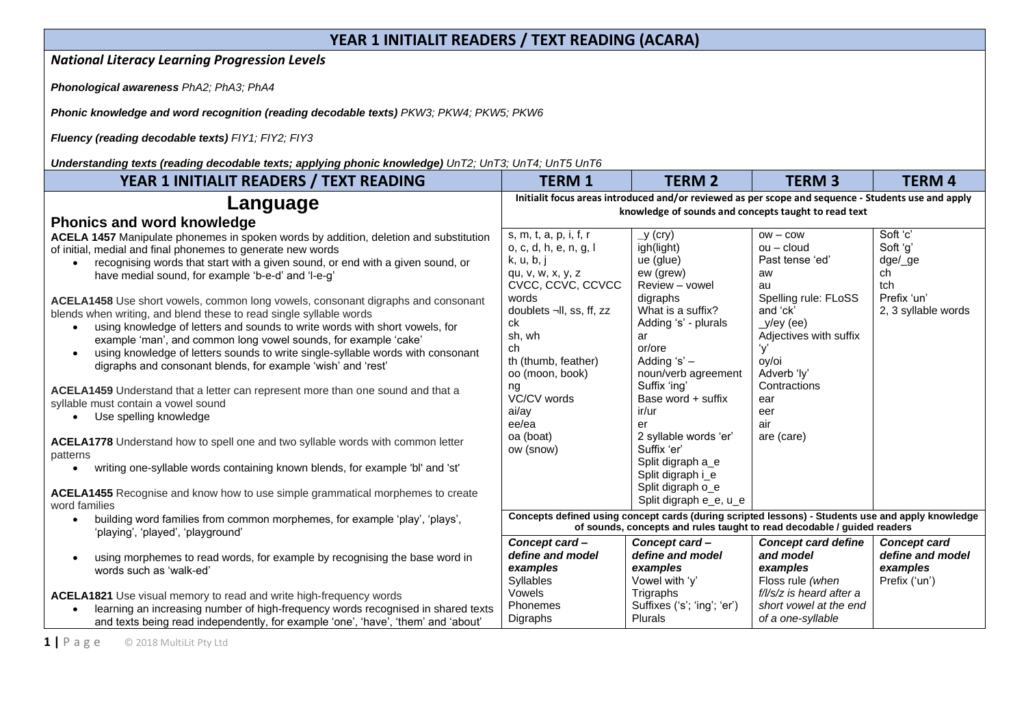## **YEAR 1 INITIALIT READERS / TEXT READING (ACARA)**

*National Literacy Learning Progression Levels* 

*Phonological awareness PhA2; PhA3; PhA4*

*Phonic knowledge and word recognition (reading decodable texts) PKW3; PKW4; PKW5; PKW6*

*Fluency (reading decodable texts) FIY1; FIY2; FIY3*

*Understanding texts (reading decodable texts; applying phonic knowledge) UnT2; UnT3; UnT4; UnT5 UnT6*

| YEAR 1 INITIALIT READERS / TEXT READING                                                                                                                                                                                                                                                                                                                                                 | <b>TERM 1</b>                                                                                                                                               | <b>TERM 2</b>                                                                                      | <b>TERM3</b>                                                                             | <b>TERM 4</b>                                                        |
|-----------------------------------------------------------------------------------------------------------------------------------------------------------------------------------------------------------------------------------------------------------------------------------------------------------------------------------------------------------------------------------------|-------------------------------------------------------------------------------------------------------------------------------------------------------------|----------------------------------------------------------------------------------------------------|------------------------------------------------------------------------------------------|----------------------------------------------------------------------|
| Language<br><b>Phonics and word knowledge</b>                                                                                                                                                                                                                                                                                                                                           | Initialit focus areas introduced and/or reviewed as per scope and sequence - Students use and apply<br>knowledge of sounds and concepts taught to read text |                                                                                                    |                                                                                          |                                                                      |
| ACELA 1457 Manipulate phonemes in spoken words by addition, deletion and substitution<br>of initial, medial and final phonemes to generate new words<br>recognising words that start with a given sound, or end with a given sound, or<br>have medial sound, for example 'b-e-d' and 'l-e-g'<br><b>ACELA1458</b> Use short vowels, common long vowels, consonant digraphs and consonant | s, m, t, a, p, i, f, r<br>o, c, d, h, e, n, g, l<br>k, u, b, j<br>qu, v, w, x, y, z<br>CVCC, CCVC, CCVCC<br>words                                           | y (cry)<br>igh(light)<br>ue (glue)<br>ew (grew)<br>Review - vowel<br>digraphs                      | $OW - \text{cow}$<br>$ou$ – cloud<br>Past tense 'ed'<br>aw<br>au<br>Spelling rule: FLoSS | Soft 'c'<br>Soft 'q'<br>dge/_ge<br>ch<br>tch<br>Prefix 'un'          |
| blends when writing, and blend these to read single syllable words<br>using knowledge of letters and sounds to write words with short vowels, for<br>$\bullet$<br>example 'man', and common long vowel sounds, for example 'cake'<br>using knowledge of letters sounds to write single-syllable words with consonant<br>digraphs and consonant blends, for example 'wish' and 'rest'    | doublets ¬II, ss, ff, zz<br>ck<br>sh, wh<br>ch<br>th (thumb, feather)<br>oo (moon, book)                                                                    | What is a suffix?<br>Adding 's' - plurals<br>ar<br>or/ore<br>Adding 's' $-$<br>noun/verb agreement | and 'ck'<br>$_y$ /ey (ee)<br>Adjectives with suffix<br>y'<br>oy/oi<br>Adverb 'ly'        | 2, 3 syllable words                                                  |
| ACELA1459 Understand that a letter can represent more than one sound and that a<br>syllable must contain a vowel sound<br>Use spelling knowledge                                                                                                                                                                                                                                        | ng<br>VC/CV words<br>ai/ay<br>ee/ea                                                                                                                         | Suffix 'ing'<br>Base word + suffix<br>ir/ur<br>er                                                  | Contractions<br>ear<br>eer<br>air                                                        |                                                                      |
| ACELA1778 Understand how to spell one and two syllable words with common letter<br>patterns                                                                                                                                                                                                                                                                                             | oa (boat)<br>ow (snow)                                                                                                                                      | 2 syllable words 'er'<br>Suffix 'er'<br>Split digraph a e                                          | are (care)                                                                               |                                                                      |
| writing one-syllable words containing known blends, for example 'bl' and 'st'<br>$\bullet$                                                                                                                                                                                                                                                                                              |                                                                                                                                                             | Split digraph i_e<br>Split digraph o_e                                                             |                                                                                          |                                                                      |
| <b>ACELA1455</b> Recognise and know how to use simple grammatical morphemes to create<br>word families                                                                                                                                                                                                                                                                                  | Concepts defined using concept cards (during scripted lessons) - Students use and apply knowledge                                                           | Split digraph e_e, u_e                                                                             |                                                                                          |                                                                      |
| building word families from common morphemes, for example 'play', 'plays',<br>'playing', 'played', 'playground'                                                                                                                                                                                                                                                                         |                                                                                                                                                             | of sounds, concepts and rules taught to read decodable / guided readers                            |                                                                                          |                                                                      |
| using morphemes to read words, for example by recognising the base word in<br>words such as 'walk-ed'                                                                                                                                                                                                                                                                                   | Concept card-<br>define and model<br>examples<br><b>Syllables</b>                                                                                           | Concept card-<br>define and model<br>examples<br>Vowel with 'y'                                    | <b>Concept card define</b><br>and model<br>examples<br>Floss rule (when                  | <b>Concept card</b><br>define and model<br>examples<br>Prefix ('un') |
| ACELA1821 Use visual memory to read and write high-frequency words<br>learning an increasing number of high-frequency words recognised in shared texts<br>and texts being read independently, for example 'one', 'have', 'them' and 'about'                                                                                                                                             | Vowels<br>Phonemes<br>Digraphs                                                                                                                              | Trigraphs<br>Suffixes ('s'; 'ing'; 'er')<br><b>Plurals</b>                                         | f/l/s/z is heard after a<br>short vowel at the end<br>of a one-syllable                  |                                                                      |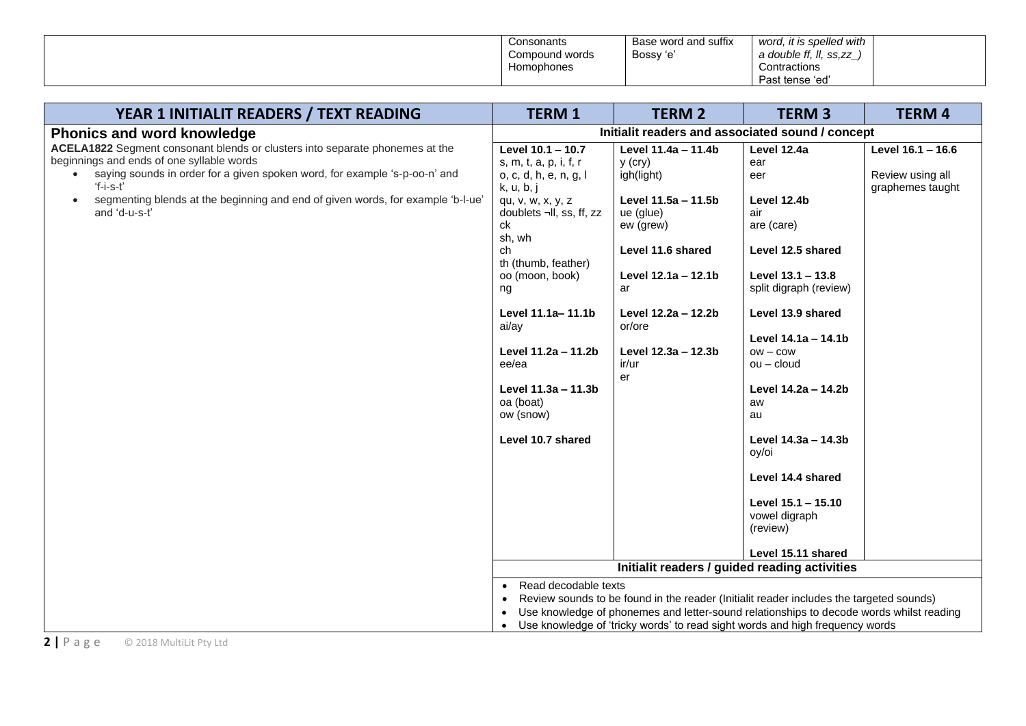| Consonants<br>Compound words<br>Homophones | Base word and suffix<br>Bossy 'e' | it is spelled with<br>word.<br>a double ff. II.<br>II. ss.zz<br>Contractions |  |
|--------------------------------------------|-----------------------------------|------------------------------------------------------------------------------|--|
|                                            |                                   | Past tense 'ed'                                                              |  |

| YEAR 1 INITIALIT READERS / TEXT READING                                                                                                                                                                                                                                                                                               | <b>TERM 1</b>                                                                                                                                                                                                                                                                                                                                                                         | <b>TERM 2</b>                                                                                                                                                                                                                                                             | <b>TERM 3</b>                                                                                                                                                                                                                                                                                                                                                                       | <b>TERM 4</b>                                             |  |
|---------------------------------------------------------------------------------------------------------------------------------------------------------------------------------------------------------------------------------------------------------------------------------------------------------------------------------------|---------------------------------------------------------------------------------------------------------------------------------------------------------------------------------------------------------------------------------------------------------------------------------------------------------------------------------------------------------------------------------------|---------------------------------------------------------------------------------------------------------------------------------------------------------------------------------------------------------------------------------------------------------------------------|-------------------------------------------------------------------------------------------------------------------------------------------------------------------------------------------------------------------------------------------------------------------------------------------------------------------------------------------------------------------------------------|-----------------------------------------------------------|--|
| <b>Phonics and word knowledge</b>                                                                                                                                                                                                                                                                                                     | Initialit readers and associated sound / concept                                                                                                                                                                                                                                                                                                                                      |                                                                                                                                                                                                                                                                           |                                                                                                                                                                                                                                                                                                                                                                                     |                                                           |  |
| ACELA1822 Segment consonant blends or clusters into separate phonemes at the<br>beginnings and ends of one syllable words<br>saying sounds in order for a given spoken word, for example 's-p-oo-n' and<br>'f-i-s-t'<br>segmenting blends at the beginning and end of given words, for example 'b-l-ue'<br>$\bullet$<br>and 'd-u-s-t' | Level 10.1 - 10.7<br>s, m, t, a, p, i, f, $r$<br>o, c, d, h, e, n, g, l<br>k, u, b, j<br>qu, v, w, x, y, z<br>doublets ¬II, ss, ff, zz<br>ck<br>sh, wh<br>ch<br>th (thumb, feather)<br>oo (moon, book)<br>ng<br>Level 11.1a-11.1b<br>ai/ay<br>Level 11.2a - 11.2b<br>ee/ea<br>Level 11.3a - 11.3b<br>oa (boat)<br>ow (snow)<br>Level 10.7 shared<br>Read decodable texts<br>$\bullet$ | Level 11.4a - 11.4b<br>$y$ (cry)<br>igh(light)<br>Level 11.5a - 11.5b<br>ue (glue)<br>ew (grew)<br>Level 11.6 shared<br>Level 12.1a - 12.1b<br>ar<br>Level 12.2a - 12.2b<br>or/ore<br>Level 12.3a - 12.3b<br>ir/ur<br>er<br>Initialit readers / guided reading activities | Level 12.4a<br>ear<br>eer<br>Level 12.4b<br>air<br>are (care)<br>Level 12.5 shared<br>Level 13.1 - 13.8<br>split digraph (review)<br>Level 13.9 shared<br>Level 14.1a - 14.1b<br>$OW - \text{COW}$<br>$ou$ – cloud<br>Level 14.2a - 14.2b<br>aw<br>au<br>Level 14.3a - 14.3b<br>oy/oi<br>Level 14.4 shared<br>Level 15.1 - 15.10<br>vowel digraph<br>(review)<br>Level 15.11 shared | Level 16.1 - 16.6<br>Review using all<br>graphemes taught |  |
|                                                                                                                                                                                                                                                                                                                                       | Review sounds to be found in the reader (Initialit reader includes the targeted sounds)<br>$\bullet$<br>Use knowledge of phonemes and letter-sound relationships to decode words whilst reading                                                                                                                                                                                       |                                                                                                                                                                                                                                                                           |                                                                                                                                                                                                                                                                                                                                                                                     |                                                           |  |
|                                                                                                                                                                                                                                                                                                                                       | $\bullet$                                                                                                                                                                                                                                                                                                                                                                             | Use knowledge of 'tricky words' to read sight words and high frequency words                                                                                                                                                                                              |                                                                                                                                                                                                                                                                                                                                                                                     |                                                           |  |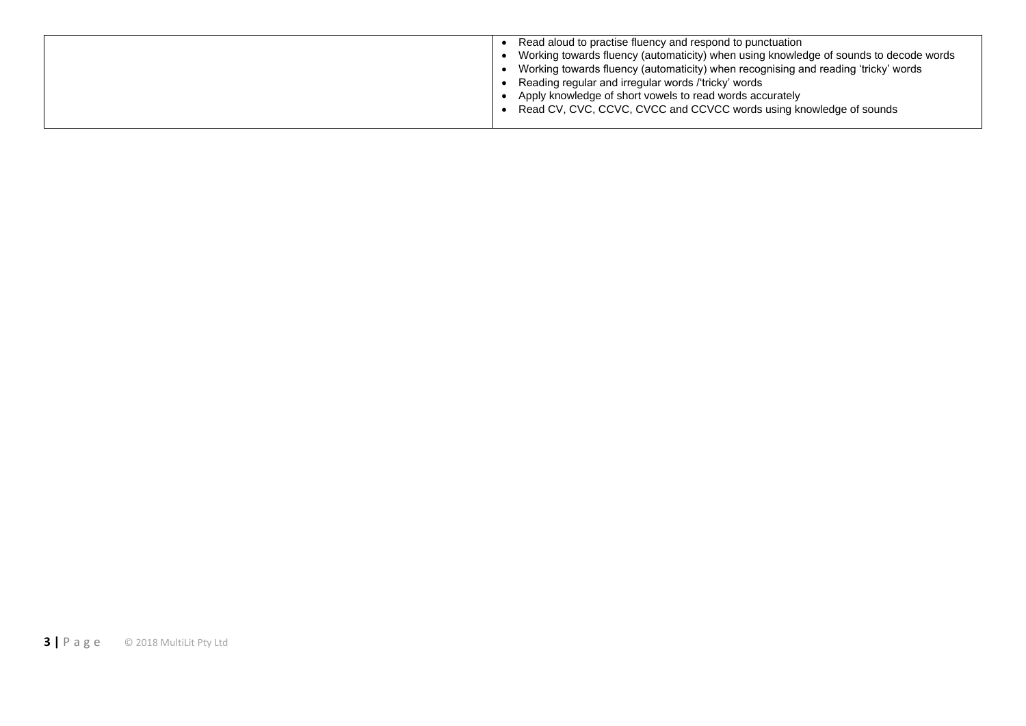| Read aloud to practise fluency and respond to punctuation                             |
|---------------------------------------------------------------------------------------|
| Working towards fluency (automaticity) when using knowledge of sounds to decode words |
| Working towards fluency (automaticity) when recognising and reading 'tricky' words    |
| Reading regular and irregular words /'tricky' words                                   |
| Apply knowledge of short vowels to read words accurately                              |
| Read CV, CVC, CCVC, CVCC and CCVCC words using knowledge of sounds                    |
|                                                                                       |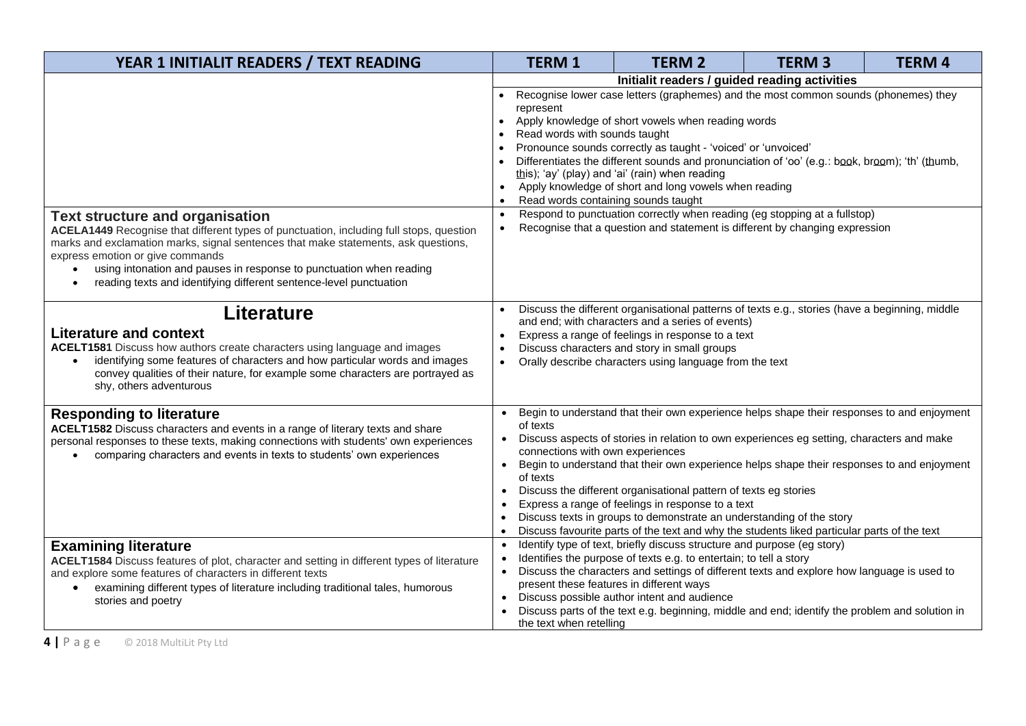| YEAR 1 INITIALIT READERS / TEXT READING                                                                                                                                                                                                                                                                                                                                                                               | <b>TERM1</b>                                                                                                                                                                                                                                                                                                                                                                                                                                                                                                                                                       | <b>TERM 2</b>                                                                                                                                            | <b>TERM3</b> | <b>TERM 4</b> |
|-----------------------------------------------------------------------------------------------------------------------------------------------------------------------------------------------------------------------------------------------------------------------------------------------------------------------------------------------------------------------------------------------------------------------|--------------------------------------------------------------------------------------------------------------------------------------------------------------------------------------------------------------------------------------------------------------------------------------------------------------------------------------------------------------------------------------------------------------------------------------------------------------------------------------------------------------------------------------------------------------------|----------------------------------------------------------------------------------------------------------------------------------------------------------|--------------|---------------|
|                                                                                                                                                                                                                                                                                                                                                                                                                       | Initialit readers / guided reading activities                                                                                                                                                                                                                                                                                                                                                                                                                                                                                                                      |                                                                                                                                                          |              |               |
|                                                                                                                                                                                                                                                                                                                                                                                                                       | Recognise lower case letters (graphemes) and the most common sounds (phonemes) they<br>represent<br>Apply knowledge of short vowels when reading words<br>$\bullet$<br>Read words with sounds taught<br>Pronounce sounds correctly as taught - 'voiced' or 'unvoiced'<br>Differentiates the different sounds and pronunciation of 'oo' (e.g.: book, broom); 'th' (thumb,<br>$\bullet$<br>this); 'ay' (play) and 'ai' (rain) when reading<br>Apply knowledge of short and long vowels when reading<br>$\bullet$<br>Read words containing sounds taught<br>$\bullet$ |                                                                                                                                                          |              |               |
| <b>Text structure and organisation</b><br>ACELA1449 Recognise that different types of punctuation, including full stops, question<br>marks and exclamation marks, signal sentences that make statements, ask questions,<br>express emotion or give commands<br>using intonation and pauses in response to punctuation when reading<br>reading texts and identifying different sentence-level punctuation<br>$\bullet$ | $\bullet$<br>$\bullet$                                                                                                                                                                                                                                                                                                                                                                                                                                                                                                                                             | Respond to punctuation correctly when reading (eg stopping at a fullstop)<br>Recognise that a question and statement is different by changing expression |              |               |
| <b>Literature</b>                                                                                                                                                                                                                                                                                                                                                                                                     |                                                                                                                                                                                                                                                                                                                                                                                                                                                                                                                                                                    | Discuss the different organisational patterns of texts e.g., stories (have a beginning, middle<br>and end; with characters and a series of events)       |              |               |
| <b>Literature and context</b>                                                                                                                                                                                                                                                                                                                                                                                         | $\bullet$                                                                                                                                                                                                                                                                                                                                                                                                                                                                                                                                                          | Express a range of feelings in response to a text                                                                                                        |              |               |
| ACELT1581 Discuss how authors create characters using language and images                                                                                                                                                                                                                                                                                                                                             | $\bullet$                                                                                                                                                                                                                                                                                                                                                                                                                                                                                                                                                          | Discuss characters and story in small groups                                                                                                             |              |               |
| identifying some features of characters and how particular words and images<br>$\bullet$<br>convey qualities of their nature, for example some characters are portrayed as<br>shy, others adventurous                                                                                                                                                                                                                 | $\bullet$                                                                                                                                                                                                                                                                                                                                                                                                                                                                                                                                                          | Orally describe characters using language from the text                                                                                                  |              |               |
| <b>Responding to literature</b>                                                                                                                                                                                                                                                                                                                                                                                       |                                                                                                                                                                                                                                                                                                                                                                                                                                                                                                                                                                    | Begin to understand that their own experience helps shape their responses to and enjoyment                                                               |              |               |
| ACELT1582 Discuss characters and events in a range of literary texts and share<br>personal responses to these texts, making connections with students' own experiences<br>comparing characters and events in texts to students' own experiences                                                                                                                                                                       | of texts<br>connections with own experiences                                                                                                                                                                                                                                                                                                                                                                                                                                                                                                                       | Discuss aspects of stories in relation to own experiences eg setting, characters and make                                                                |              |               |
|                                                                                                                                                                                                                                                                                                                                                                                                                       | $\bullet$<br>of texts                                                                                                                                                                                                                                                                                                                                                                                                                                                                                                                                              | Begin to understand that their own experience helps shape their responses to and enjoyment                                                               |              |               |
|                                                                                                                                                                                                                                                                                                                                                                                                                       | $\bullet$                                                                                                                                                                                                                                                                                                                                                                                                                                                                                                                                                          | Discuss the different organisational pattern of texts eg stories<br>Express a range of feelings in response to a text                                    |              |               |
|                                                                                                                                                                                                                                                                                                                                                                                                                       | ٠                                                                                                                                                                                                                                                                                                                                                                                                                                                                                                                                                                  | Discuss texts in groups to demonstrate an understanding of the story                                                                                     |              |               |
|                                                                                                                                                                                                                                                                                                                                                                                                                       | $\bullet$                                                                                                                                                                                                                                                                                                                                                                                                                                                                                                                                                          | Discuss favourite parts of the text and why the students liked particular parts of the text                                                              |              |               |
| <b>Examining literature</b>                                                                                                                                                                                                                                                                                                                                                                                           | $\bullet$                                                                                                                                                                                                                                                                                                                                                                                                                                                                                                                                                          | Identify type of text, briefly discuss structure and purpose (eg story)                                                                                  |              |               |
| ACELT1584 Discuss features of plot, character and setting in different types of literature                                                                                                                                                                                                                                                                                                                            | $\bullet$                                                                                                                                                                                                                                                                                                                                                                                                                                                                                                                                                          | Identifies the purpose of texts e.g. to entertain; to tell a story                                                                                       |              |               |
| and explore some features of characters in different texts                                                                                                                                                                                                                                                                                                                                                            |                                                                                                                                                                                                                                                                                                                                                                                                                                                                                                                                                                    | Discuss the characters and settings of different texts and explore how language is used to<br>present these features in different ways                   |              |               |
| examining different types of literature including traditional tales, humorous<br>$\bullet$                                                                                                                                                                                                                                                                                                                            | $\bullet$                                                                                                                                                                                                                                                                                                                                                                                                                                                                                                                                                          | Discuss possible author intent and audience                                                                                                              |              |               |
| stories and poetry                                                                                                                                                                                                                                                                                                                                                                                                    | the text when retelling                                                                                                                                                                                                                                                                                                                                                                                                                                                                                                                                            | Discuss parts of the text e.g. beginning, middle and end; identify the problem and solution in                                                           |              |               |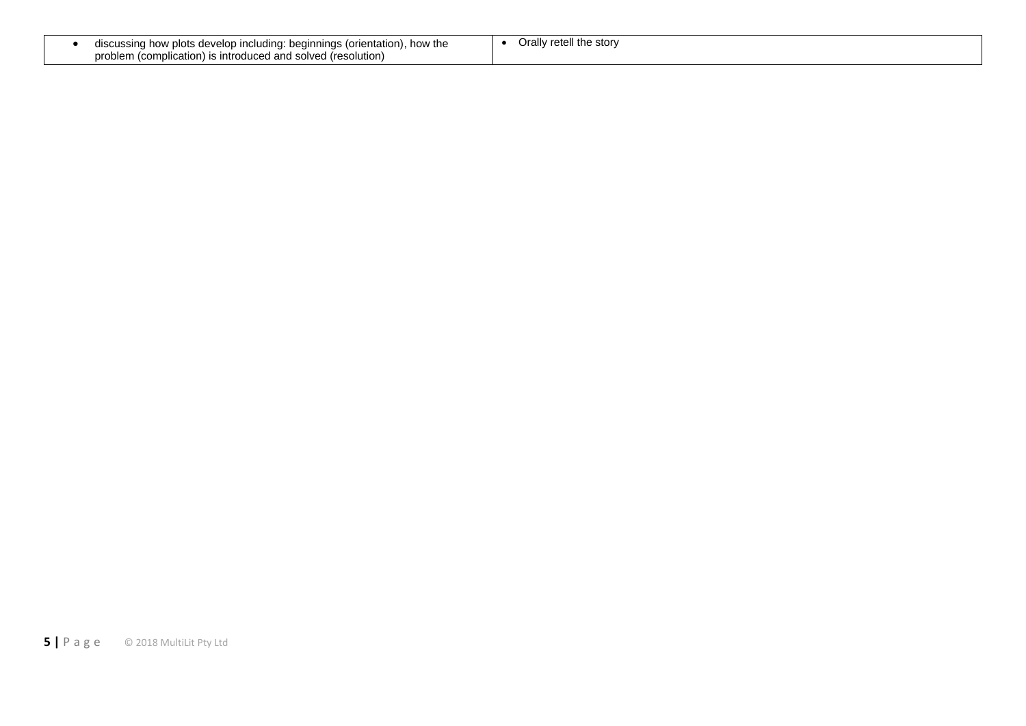| . how the<br>discussing how plots develop including: beginnings (orientation), , | llv retell the storv<br>$\mathbf{r}$<br>Jid" |
|----------------------------------------------------------------------------------|----------------------------------------------|
| problem<br>n (complication) is introduced and solved (resolution)                |                                              |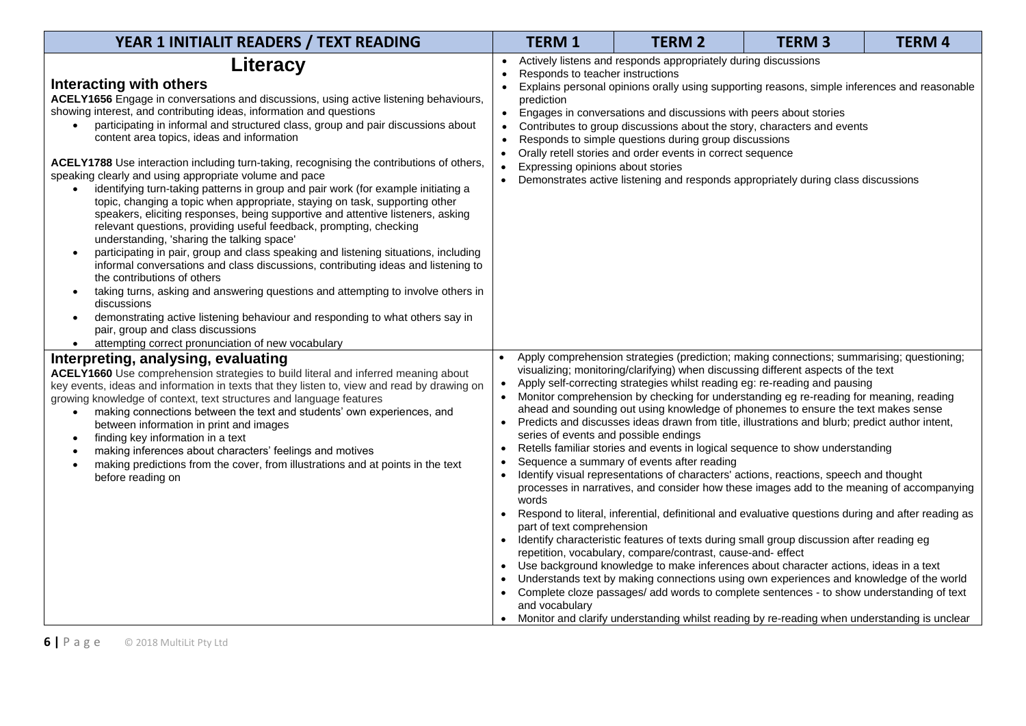| YEAR 1 INITIALIT READERS / TEXT READING                                                                                                                                                                                                                                                                                                                                                                                                                                                                                                                                                                                                                                                                                                                                                                                                                                                                                                                                                                                                                                                                                                                                                                                                                                                                                               | <b>TERM1</b>                                                                                                                          | <b>TERM 2</b>                                                                                                                                                                                                                                                                                                                                                                                                                                                                                                                                                                                                                                                                                                                                                                                                                                                                                                                                                                                                                                                                                                                                                                                                                                                                                                                                                                                                                                                                                                      | <b>TERM3</b> | <b>TERM4</b> |
|---------------------------------------------------------------------------------------------------------------------------------------------------------------------------------------------------------------------------------------------------------------------------------------------------------------------------------------------------------------------------------------------------------------------------------------------------------------------------------------------------------------------------------------------------------------------------------------------------------------------------------------------------------------------------------------------------------------------------------------------------------------------------------------------------------------------------------------------------------------------------------------------------------------------------------------------------------------------------------------------------------------------------------------------------------------------------------------------------------------------------------------------------------------------------------------------------------------------------------------------------------------------------------------------------------------------------------------|---------------------------------------------------------------------------------------------------------------------------------------|--------------------------------------------------------------------------------------------------------------------------------------------------------------------------------------------------------------------------------------------------------------------------------------------------------------------------------------------------------------------------------------------------------------------------------------------------------------------------------------------------------------------------------------------------------------------------------------------------------------------------------------------------------------------------------------------------------------------------------------------------------------------------------------------------------------------------------------------------------------------------------------------------------------------------------------------------------------------------------------------------------------------------------------------------------------------------------------------------------------------------------------------------------------------------------------------------------------------------------------------------------------------------------------------------------------------------------------------------------------------------------------------------------------------------------------------------------------------------------------------------------------------|--------------|--------------|
| Literacy<br>Interacting with others<br>ACELY1656 Engage in conversations and discussions, using active listening behaviours,<br>showing interest, and contributing ideas, information and questions<br>participating in informal and structured class, group and pair discussions about<br>content area topics, ideas and information<br>ACELY1788 Use interaction including turn-taking, recognising the contributions of others,<br>speaking clearly and using appropriate volume and pace<br>identifying turn-taking patterns in group and pair work (for example initiating a<br>topic, changing a topic when appropriate, staying on task, supporting other<br>speakers, eliciting responses, being supportive and attentive listeners, asking<br>relevant questions, providing useful feedback, prompting, checking<br>understanding, 'sharing the talking space'<br>participating in pair, group and class speaking and listening situations, including<br>$\bullet$<br>informal conversations and class discussions, contributing ideas and listening to<br>the contributions of others<br>taking turns, asking and answering questions and attempting to involve others in<br>$\bullet$<br>discussions<br>demonstrating active listening behaviour and responding to what others say in<br>pair, group and class discussions | Responds to teacher instructions<br>prediction<br>$\bullet$<br>Expressing opinions about stories<br>$\bullet$                         | Actively listens and responds appropriately during discussions<br>Explains personal opinions orally using supporting reasons, simple inferences and reasonable<br>Engages in conversations and discussions with peers about stories<br>Contributes to group discussions about the story, characters and events<br>Responds to simple questions during group discussions<br>Orally retell stories and order events in correct sequence<br>Demonstrates active listening and responds appropriately during class discussions                                                                                                                                                                                                                                                                                                                                                                                                                                                                                                                                                                                                                                                                                                                                                                                                                                                                                                                                                                                         |              |              |
| attempting correct pronunciation of new vocabulary<br>$\bullet$<br>Interpreting, analysing, evaluating<br>ACELY1660 Use comprehension strategies to build literal and inferred meaning about<br>key events, ideas and information in texts that they listen to, view and read by drawing on<br>growing knowledge of context, text structures and language features<br>making connections between the text and students' own experiences, and<br>between information in print and images<br>finding key information in a text<br>$\bullet$<br>making inferences about characters' feelings and motives<br>$\bullet$<br>making predictions from the cover, from illustrations and at points in the text<br>$\bullet$<br>before reading on                                                                                                                                                                                                                                                                                                                                                                                                                                                                                                                                                                                               | series of events and possible endings<br>$\bullet$<br>words<br>$\bullet$<br>part of text comprehension<br>$\bullet$<br>and vocabulary | Apply comprehension strategies (prediction; making connections; summarising; questioning;<br>visualizing; monitoring/clarifying) when discussing different aspects of the text<br>Apply self-correcting strategies whilst reading eg: re-reading and pausing<br>Monitor comprehension by checking for understanding eg re-reading for meaning, reading<br>ahead and sounding out using knowledge of phonemes to ensure the text makes sense<br>Predicts and discusses ideas drawn from title, illustrations and blurb; predict author intent,<br>Retells familiar stories and events in logical sequence to show understanding<br>Sequence a summary of events after reading<br>Identify visual representations of characters' actions, reactions, speech and thought<br>processes in narratives, and consider how these images add to the meaning of accompanying<br>Respond to literal, inferential, definitional and evaluative questions during and after reading as<br>Identify characteristic features of texts during small group discussion after reading eg<br>repetition, vocabulary, compare/contrast, cause-and- effect<br>Use background knowledge to make inferences about character actions, ideas in a text<br>Understands text by making connections using own experiences and knowledge of the world<br>Complete cloze passages/ add words to complete sentences - to show understanding of text<br>Monitor and clarify understanding whilst reading by re-reading when understanding is unclear |              |              |